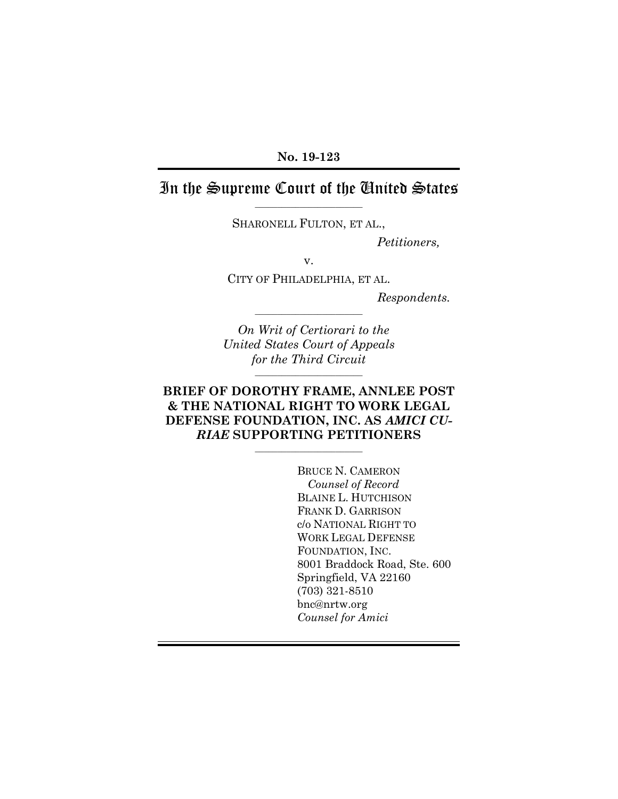#### **No. 19-123**

# In the Supreme Court of the United States

–––––––––––––––––––––––– SHARONELL FULTON, ET AL.,

*Petitioners,*

v.

CITY OF PHILADELPHIA, ET AL.

*Respondents.*

*On Writ of Certiorari to the United States Court of Appeals for the Third Circuit*

––––––––––––––––––––––––

––––––––––––––––––––––––

## **BRIEF OF DOROTHY FRAME, ANNLEE POST & THE NATIONAL RIGHT TO WORK LEGAL DEFENSE FOUNDATION, INC. AS** *AMICI CU-RIAE* **SUPPORTING PETITIONERS**

––––––––––––––––––––––––

BRUCE N. CAMERON *Counsel of Record* BLAINE L. HUTCHISON FRANK D. GARRISON c/o NATIONAL RIGHT TO WORK LEGAL DEFENSE FOUNDATION, INC. 8001 Braddock Road, Ste. 600 Springfield, VA 22160 (703) 321-8510 bnc@nrtw.org *Counsel for Amici*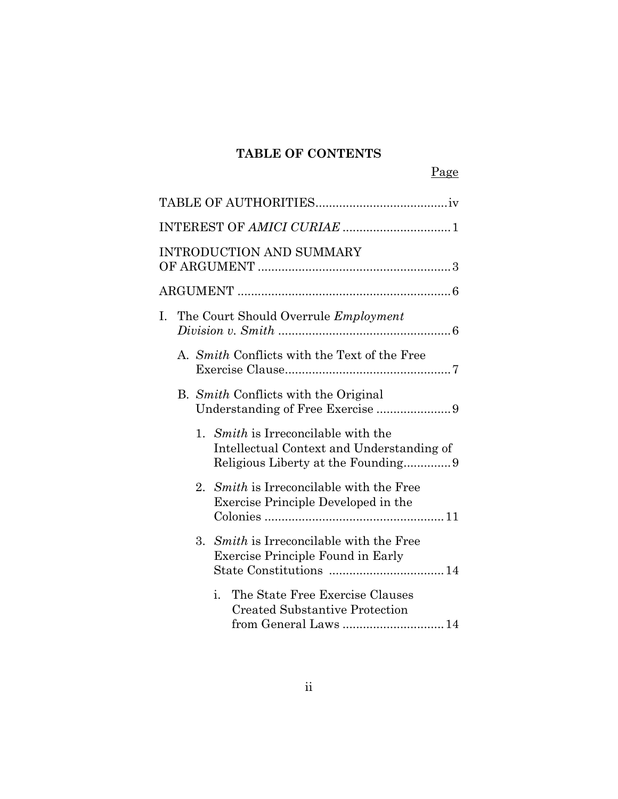# **TABLE OF CONTENTS**

|--|

|  | <b>INTRODUCTION AND SUMMARY</b>                                                                         |  |
|--|---------------------------------------------------------------------------------------------------------|--|
|  |                                                                                                         |  |
|  | I. The Court Should Overrule Employment                                                                 |  |
|  | A. Smith Conflicts with the Text of the Free                                                            |  |
|  | B. Smith Conflicts with the Original                                                                    |  |
|  | 1. <i>Smith</i> is Irreconcilable with the<br>Intellectual Context and Understanding of                 |  |
|  | 2. Smith is Irreconcilable with the Free<br>Exercise Principle Developed in the                         |  |
|  | 3. Smith is Irreconcilable with the Free<br><b>Exercise Principle Found in Early</b>                    |  |
|  | The State Free Exercise Clauses<br>i.<br><b>Created Substantive Protection</b><br>from General Laws  14 |  |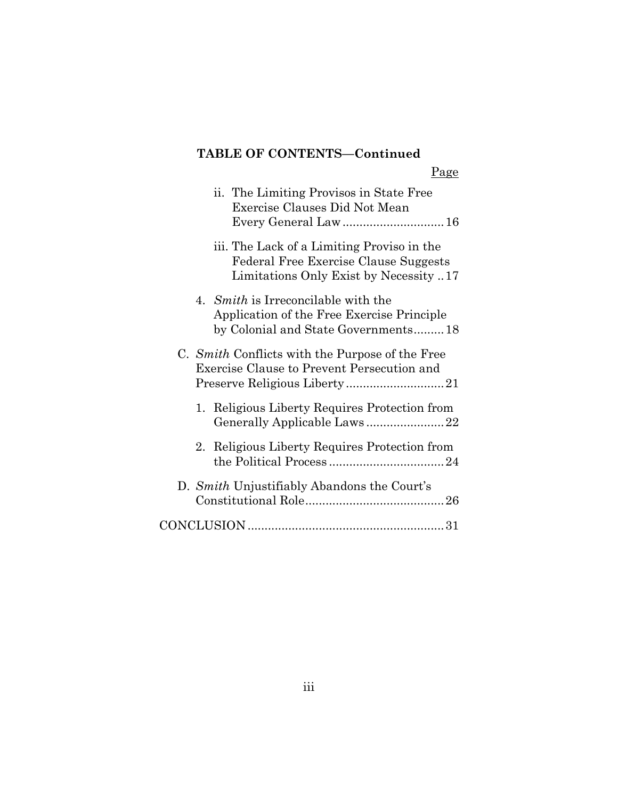# **TABLE OF CONTENTS—Continued**

|--|

| ii. The Limiting Provisos in State Free<br>Exercise Clauses Did Not Mean                                                      |
|-------------------------------------------------------------------------------------------------------------------------------|
| iii. The Lack of a Limiting Proviso in the<br>Federal Free Exercise Clause Suggests<br>Limitations Only Exist by Necessity 17 |
| 4. Smith is Irreconcilable with the<br>Application of the Free Exercise Principle<br>by Colonial and State Governments18      |
| C. Smith Conflicts with the Purpose of the Free<br>Exercise Clause to Prevent Persecution and                                 |
| 1. Religious Liberty Requires Protection from<br>Generally Applicable Laws22                                                  |
| 2. Religious Liberty Requires Protection from                                                                                 |
| D. Smith Unjustifiably Abandons the Court's                                                                                   |
|                                                                                                                               |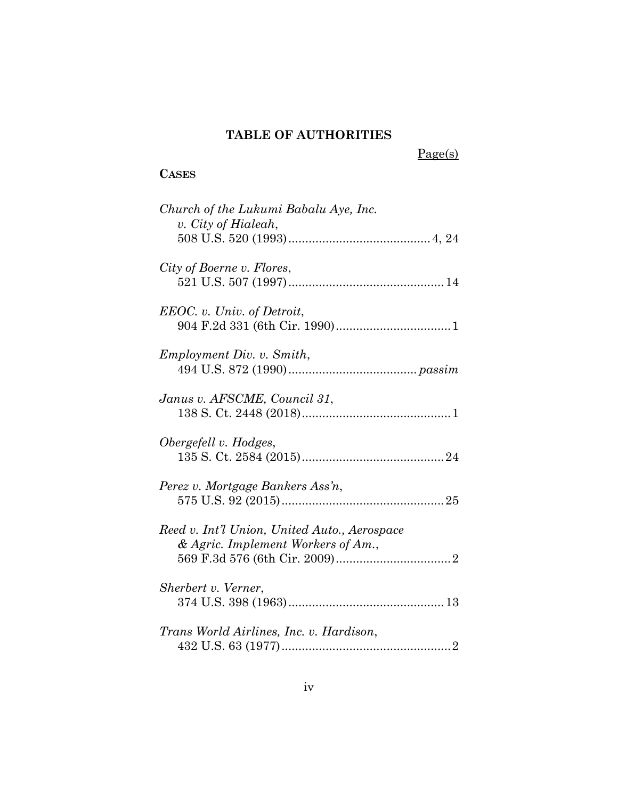# **TABLE OF AUTHORITIES**

Page(s)

# **CASES**

| Church of the Lukumi Babalu Aye, Inc.<br>v. City of Hialeah,                       |
|------------------------------------------------------------------------------------|
| City of Boerne v. Flores,                                                          |
| EEOC. v. Univ. of Detroit,                                                         |
| <i>Employment Div. v. Smith,</i>                                                   |
| Janus v. AFSCME, Council 31,                                                       |
| Obergefell v. Hodges,                                                              |
| Perez v. Mortgage Bankers Ass'n,                                                   |
| Reed v. Int'l Union, United Auto., Aerospace<br>& Agric. Implement Workers of Am., |
| Sherbert v. Verner,                                                                |
| Trans World Airlines, Inc. v. Hardison,                                            |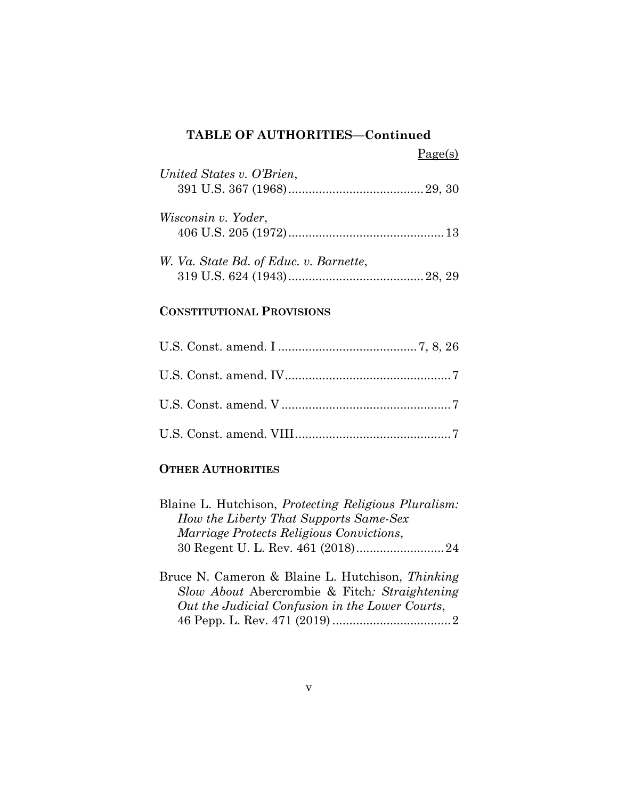## **TABLE OF AUTHORITIES—Continued**

| United States v. O'Brien,              |  |
|----------------------------------------|--|
| Wisconsin v. Yoder,                    |  |
| W. Va. State Bd. of Educ. v. Barnette, |  |

#### **CONSTITUTIONAL PROVISIONS**

#### **OTHER AUTHORITIES**

| Blaine L. Hutchison, <i>Protecting Religious Pluralism</i> : |  |
|--------------------------------------------------------------|--|
| How the Liberty That Supports Same-Sex                       |  |
| <i>Marriage Protects Religious Convictions,</i>              |  |
|                                                              |  |
|                                                              |  |

Bruce N. Cameron & Blaine L. Hutchison, *Thinking Slow About* Abercrombie & Fitch*: Straightening Out the Judicial Confusion in the Lower Courts*, 46 Pepp. L. Rev. 471 (2019) ...................................2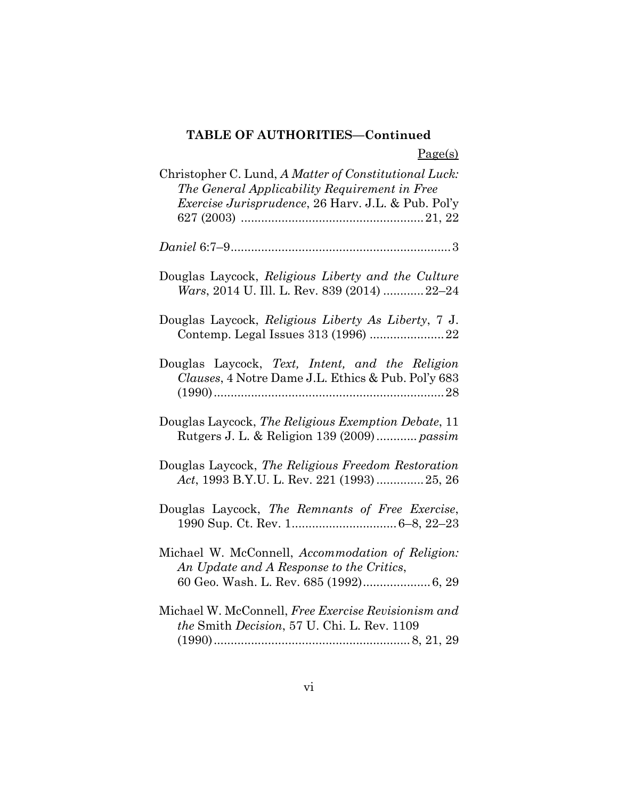# **TABLE OF AUTHORITIES—Continued**

Page(s)

| Christopher C. Lund, A Matter of Constitutional Luck:<br>The General Applicability Requirement in Free<br><i>Exercise Jurisprudence</i> , 26 Harv. J.L. & Pub. Pol'y |
|----------------------------------------------------------------------------------------------------------------------------------------------------------------------|
|                                                                                                                                                                      |
| Douglas Laycock, Religious Liberty and the Culture<br>Wars, 2014 U. Ill. L. Rev. 839 (2014)  22–24                                                                   |
| Douglas Laycock, Religious Liberty As Liberty, 7 J.<br>Contemp. Legal Issues 313 (1996)  22                                                                          |
| Douglas Laycock, Text, Intent, and the Religion<br>Clauses, 4 Notre Dame J.L. Ethics & Pub. Pol'y 683                                                                |
| Douglas Laycock, The Religious Exemption Debate, 11<br>Rutgers J. L. & Religion 139 (2009) passim                                                                    |
| Douglas Laycock, The Religious Freedom Restoration<br>Act, 1993 B.Y.U. L. Rev. 221 (1993)  25, 26                                                                    |
| Douglas Laycock, The Remnants of Free Exercise,                                                                                                                      |
| Michael W. McConnell, Accommodation of Religion:<br>An Update and A Response to the Critics,<br>60 Geo. Wash. L. Rev. 685 (1992) 6, 29                               |
| Michael W. McConnell, Free Exercise Revisionism and<br>the Smith Decision, 57 U. Chi. L. Rev. 1109                                                                   |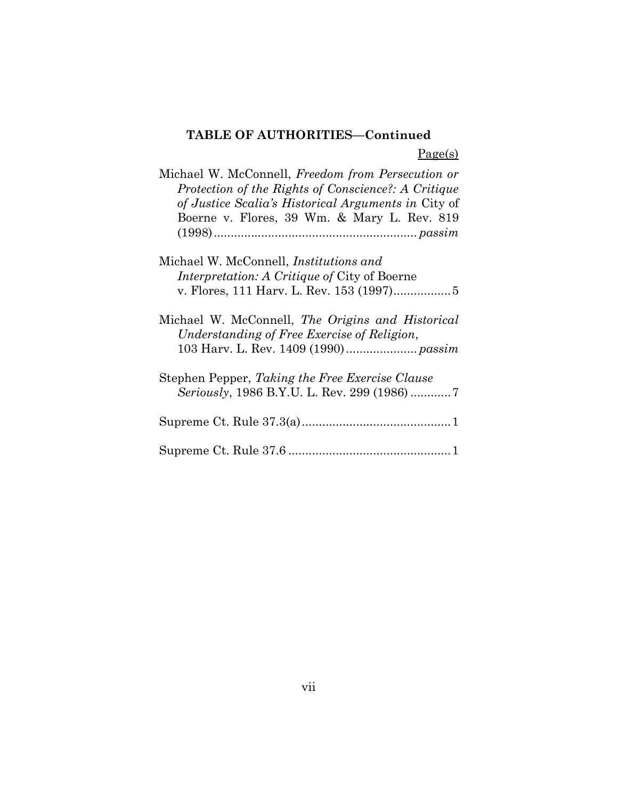# **TABLE OF AUTHORITIES—Continued**

Page(s)

| Michael W. McConnell, <i>Freedom from Persecution or</i> |
|----------------------------------------------------------|
| Protection of the Rights of Conscience?: A Critique      |
| of Justice Scalia's Historical Arguments in City of      |
| Boerne v. Flores, 39 Wm. & Mary L. Rev. 819              |
|                                                          |
|                                                          |
| Michael W. McConnell, <i>Institutions and</i>            |
| <i>Interpretation: A Critique of City of Boerne</i>      |
|                                                          |
| Michael W. McConnell, The Origins and Historical         |
| Understanding of Free Exercise of Religion,              |
|                                                          |
|                                                          |
| Stephen Pepper, Taking the Free Exercise Clause          |
|                                                          |
|                                                          |
|                                                          |
|                                                          |
|                                                          |
|                                                          |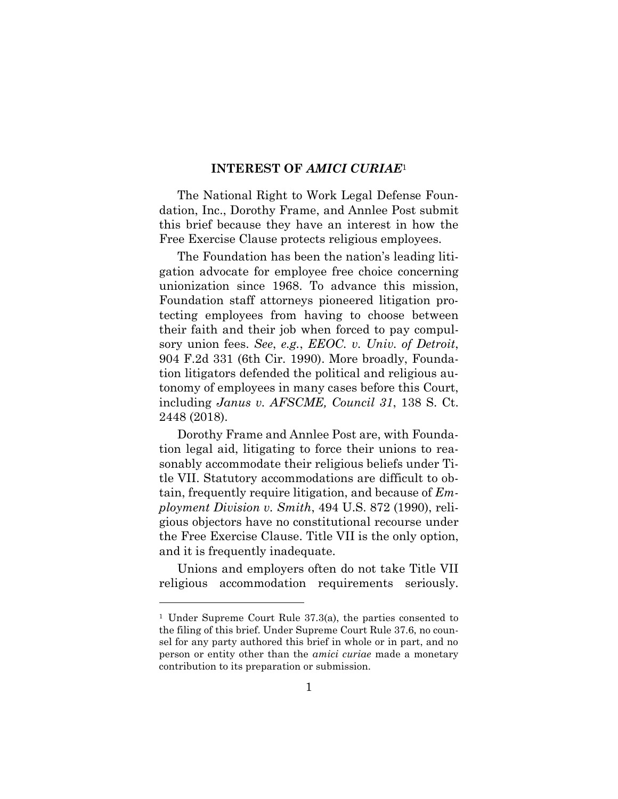#### **INTEREST OF** *AMICI CURIAE*<sup>1</sup>

The National Right to Work Legal Defense Foundation, Inc., Dorothy Frame, and Annlee Post submit this brief because they have an interest in how the Free Exercise Clause protects religious employees.

The Foundation has been the nation's leading litigation advocate for employee free choice concerning unionization since 1968. To advance this mission, Foundation staff attorneys pioneered litigation protecting employees from having to choose between their faith and their job when forced to pay compulsory union fees. *See*, *e.g.*, *EEOC. v. Univ. of Detroit*, 904 F.2d 331 (6th Cir. 1990). More broadly, Foundation litigators defended the political and religious autonomy of employees in many cases before this Court, including *Janus v. AFSCME, Council 31*, 138 S. Ct. 2448 (2018).

Dorothy Frame and Annlee Post are, with Foundation legal aid, litigating to force their unions to reasonably accommodate their religious beliefs under Title VII. Statutory accommodations are difficult to obtain, frequently require litigation, and because of *Employment Division v. Smith*, 494 U.S. 872 (1990), religious objectors have no constitutional recourse under the Free Exercise Clause. Title VII is the only option, and it is frequently inadequate.

Unions and employers often do not take Title VII religious accommodation requirements seriously.

<sup>1</sup> Under Supreme Court Rule 37.3(a), the parties consented to the filing of this brief. Under Supreme Court Rule 37.6, no counsel for any party authored this brief in whole or in part, and no person or entity other than the *amici curiae* made a monetary contribution to its preparation or submission.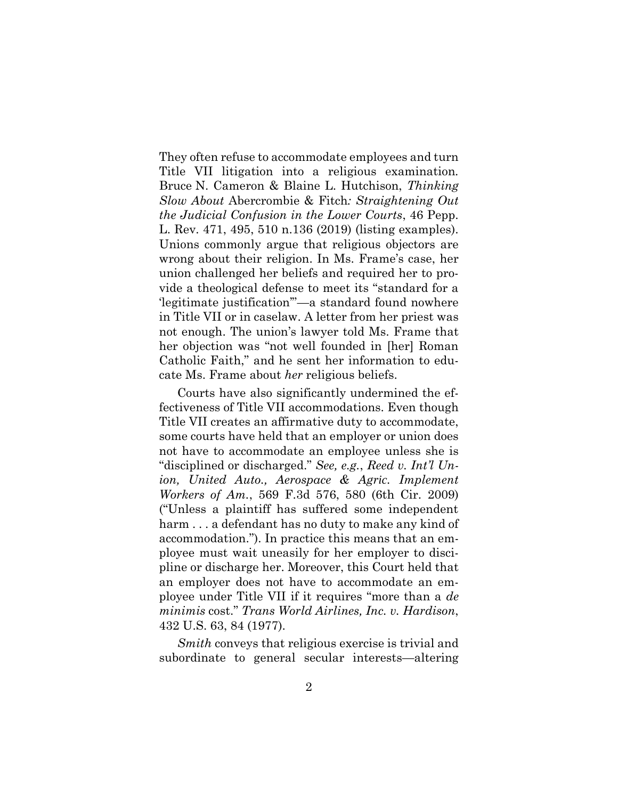They often refuse to accommodate employees and turn Title VII litigation into a religious examination. Bruce N. Cameron & Blaine L. Hutchison, *Thinking Slow About* Abercrombie & Fitch*: Straightening Out the Judicial Confusion in the Lower Courts*, 46 Pepp. L. Rev. 471, 495, 510 n.136 (2019) (listing examples). Unions commonly argue that religious objectors are wrong about their religion. In Ms. Frame's case, her union challenged her beliefs and required her to provide a theological defense to meet its "standard for a 'legitimate justification'"—a standard found nowhere in Title VII or in caselaw. A letter from her priest was not enough. The union's lawyer told Ms. Frame that her objection was "not well founded in [her] Roman Catholic Faith," and he sent her information to educate Ms. Frame about *her* religious beliefs.

Courts have also significantly undermined the effectiveness of Title VII accommodations. Even though Title VII creates an affirmative duty to accommodate, some courts have held that an employer or union does not have to accommodate an employee unless she is "disciplined or discharged." *See, e.g.*, *Reed v. Int'l Union, United Auto., Aerospace & Agric. Implement Workers of Am.*, 569 F.3d 576, 580 (6th Cir. 2009) ("Unless a plaintiff has suffered some independent harm ... a defendant has no duty to make any kind of accommodation."). In practice this means that an employee must wait uneasily for her employer to discipline or discharge her. Moreover, this Court held that an employer does not have to accommodate an employee under Title VII if it requires "more than a *de minimis* cost." *Trans World Airlines, Inc. v. Hardison*, 432 U.S. 63, 84 (1977).

*Smith* conveys that religious exercise is trivial and subordinate to general secular interests—altering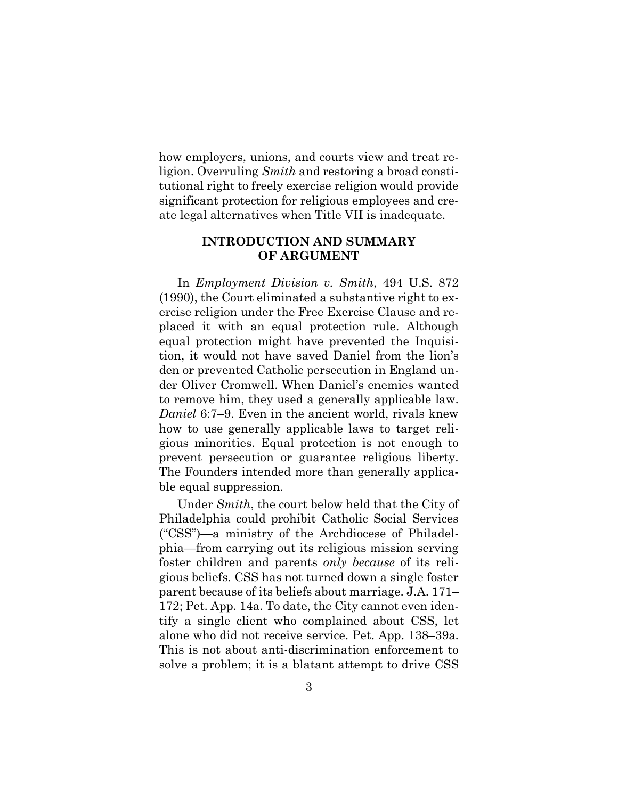how employers, unions, and courts view and treat religion. Overruling *Smith* and restoring a broad constitutional right to freely exercise religion would provide significant protection for religious employees and create legal alternatives when Title VII is inadequate.

#### **INTRODUCTION AND SUMMARY OF ARGUMENT**

In *Employment Division v. Smith*, 494 U.S. 872 (1990), the Court eliminated a substantive right to exercise religion under the Free Exercise Clause and replaced it with an equal protection rule. Although equal protection might have prevented the Inquisition, it would not have saved Daniel from the lion's den or prevented Catholic persecution in England under Oliver Cromwell. When Daniel's enemies wanted to remove him, they used a generally applicable law. *Daniel* 6:7–9. Even in the ancient world, rivals knew how to use generally applicable laws to target religious minorities. Equal protection is not enough to prevent persecution or guarantee religious liberty. The Founders intended more than generally applicable equal suppression.

Under *Smith*, the court below held that the City of Philadelphia could prohibit Catholic Social Services ("CSS")—a ministry of the Archdiocese of Philadelphia—from carrying out its religious mission serving foster children and parents *only because* of its religious beliefs. CSS has not turned down a single foster parent because of its beliefs about marriage. J.A. 171– 172; Pet. App. 14a. To date, the City cannot even identify a single client who complained about CSS, let alone who did not receive service. Pet. App. 138–39a. This is not about anti-discrimination enforcement to solve a problem; it is a blatant attempt to drive CSS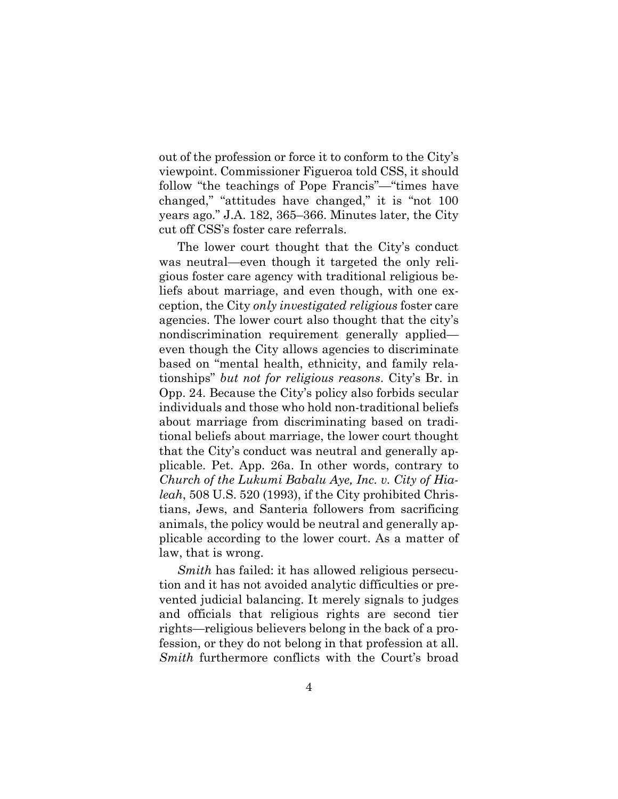out of the profession or force it to conform to the City's viewpoint. Commissioner Figueroa told CSS, it should follow "the teachings of Pope Francis"—"times have changed," "attitudes have changed," it is "not 100 years ago." J.A. 182, 365–366. Minutes later, the City cut off CSS's foster care referrals.

The lower court thought that the City's conduct was neutral—even though it targeted the only religious foster care agency with traditional religious beliefs about marriage, and even though, with one exception, the City *only investigated religious* foster care agencies. The lower court also thought that the city's nondiscrimination requirement generally applied even though the City allows agencies to discriminate based on "mental health, ethnicity, and family relationships" *but not for religious reasons*. City's Br. in Opp. 24. Because the City's policy also forbids secular individuals and those who hold non-traditional beliefs about marriage from discriminating based on traditional beliefs about marriage, the lower court thought that the City's conduct was neutral and generally applicable. Pet. App. 26a. In other words, contrary to *Church of the Lukumi Babalu Aye, Inc. v. City of Hialeah*, 508 U.S. 520 (1993), if the City prohibited Christians, Jews, and Santeria followers from sacrificing animals, the policy would be neutral and generally applicable according to the lower court. As a matter of law, that is wrong.

*Smith* has failed: it has allowed religious persecution and it has not avoided analytic difficulties or prevented judicial balancing. It merely signals to judges and officials that religious rights are second tier rights—religious believers belong in the back of a profession, or they do not belong in that profession at all. *Smith* furthermore conflicts with the Court's broad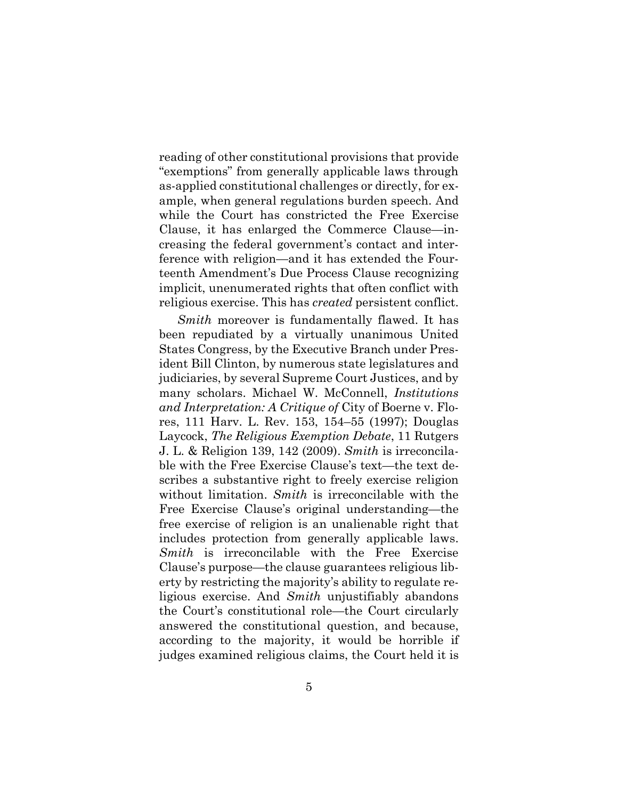reading of other constitutional provisions that provide "exemptions" from generally applicable laws through as-applied constitutional challenges or directly, for example, when general regulations burden speech. And while the Court has constricted the Free Exercise Clause, it has enlarged the Commerce Clause—increasing the federal government's contact and interference with religion—and it has extended the Fourteenth Amendment's Due Process Clause recognizing implicit, unenumerated rights that often conflict with religious exercise. This has *created* persistent conflict.

*Smith* moreover is fundamentally flawed. It has been repudiated by a virtually unanimous United States Congress, by the Executive Branch under President Bill Clinton, by numerous state legislatures and judiciaries, by several Supreme Court Justices, and by many scholars. Michael W. McConnell, *Institutions and Interpretation: A Critique of* City of Boerne v. Flores, 111 Harv. L. Rev. 153, 154–55 (1997); Douglas Laycock, *The Religious Exemption Debate*, 11 Rutgers J. L. & Religion 139, 142 (2009). *Smith* is irreconcilable with the Free Exercise Clause's text—the text describes a substantive right to freely exercise religion without limitation. *Smith* is irreconcilable with the Free Exercise Clause's original understanding—the free exercise of religion is an unalienable right that includes protection from generally applicable laws. *Smith* is irreconcilable with the Free Exercise Clause's purpose—the clause guarantees religious liberty by restricting the majority's ability to regulate religious exercise. And *Smith* unjustifiably abandons the Court's constitutional role—the Court circularly answered the constitutional question, and because, according to the majority, it would be horrible if judges examined religious claims, the Court held it is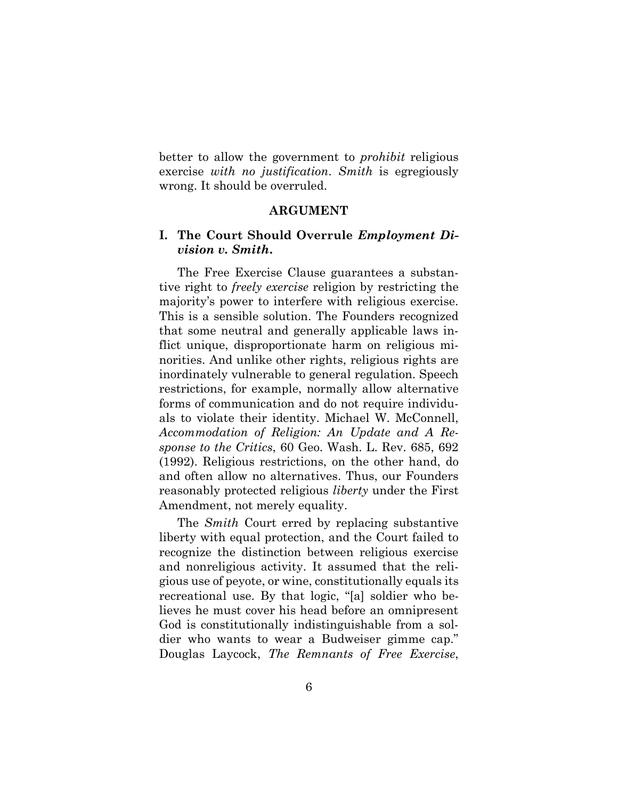better to allow the government to *prohibit* religious exercise *with no justification*. *Smith* is egregiously wrong. It should be overruled.

#### **ARGUMENT**

#### **I. The Court Should Overrule** *Employment Division v. Smith***.**

The Free Exercise Clause guarantees a substantive right to *freely exercise* religion by restricting the majority's power to interfere with religious exercise. This is a sensible solution. The Founders recognized that some neutral and generally applicable laws inflict unique, disproportionate harm on religious minorities. And unlike other rights, religious rights are inordinately vulnerable to general regulation. Speech restrictions, for example, normally allow alternative forms of communication and do not require individuals to violate their identity. Michael W. McConnell, *Accommodation of Religion: An Update and A Response to the Critics*, 60 Geo. Wash. L. Rev. 685, 692 (1992). Religious restrictions, on the other hand, do and often allow no alternatives. Thus, our Founders reasonably protected religious *liberty* under the First Amendment, not merely equality.

The *Smith* Court erred by replacing substantive liberty with equal protection, and the Court failed to recognize the distinction between religious exercise and nonreligious activity. It assumed that the religious use of peyote, or wine, constitutionally equals its recreational use. By that logic, "[a] soldier who believes he must cover his head before an omnipresent God is constitutionally indistinguishable from a soldier who wants to wear a Budweiser gimme cap." Douglas Laycock, *The Remnants of Free Exercise*,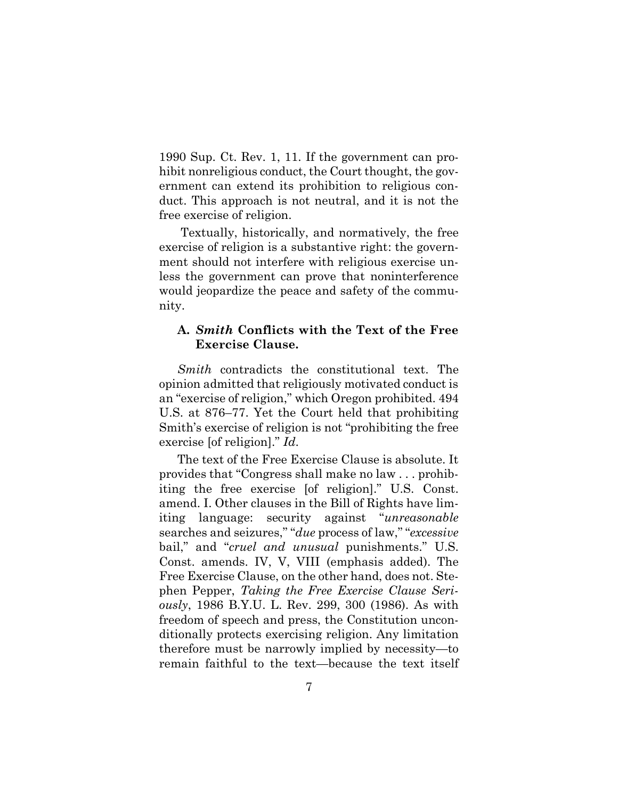1990 Sup. Ct. Rev. 1, 11. If the government can prohibit nonreligious conduct, the Court thought, the government can extend its prohibition to religious conduct. This approach is not neutral, and it is not the free exercise of religion.

Textually, historically, and normatively, the free exercise of religion is a substantive right: the government should not interfere with religious exercise unless the government can prove that noninterference would jeopardize the peace and safety of the community.

#### **A.** *Smith* **Conflicts with the Text of the Free Exercise Clause.**

*Smith* contradicts the constitutional text. The opinion admitted that religiously motivated conduct is an "exercise of religion," which Oregon prohibited. 494 U.S. at 876–77. Yet the Court held that prohibiting Smith's exercise of religion is not "prohibiting the free exercise [of religion]." *Id*.

The text of the Free Exercise Clause is absolute. It provides that "Congress shall make no law . . . prohibiting the free exercise [of religion]." U.S. Const. amend. I. Other clauses in the Bill of Rights have limiting language: security against "*unreasonable*  searches and seizures," "*due* process of law," "*excessive* bail," and "*cruel and unusual* punishments." U.S. Const. amends. IV, V, VIII (emphasis added). The Free Exercise Clause, on the other hand, does not. Stephen Pepper, *Taking the Free Exercise Clause Seriously*, 1986 B.Y.U. L. Rev. 299, 300 (1986). As with freedom of speech and press, the Constitution unconditionally protects exercising religion. Any limitation therefore must be narrowly implied by necessity—to remain faithful to the text—because the text itself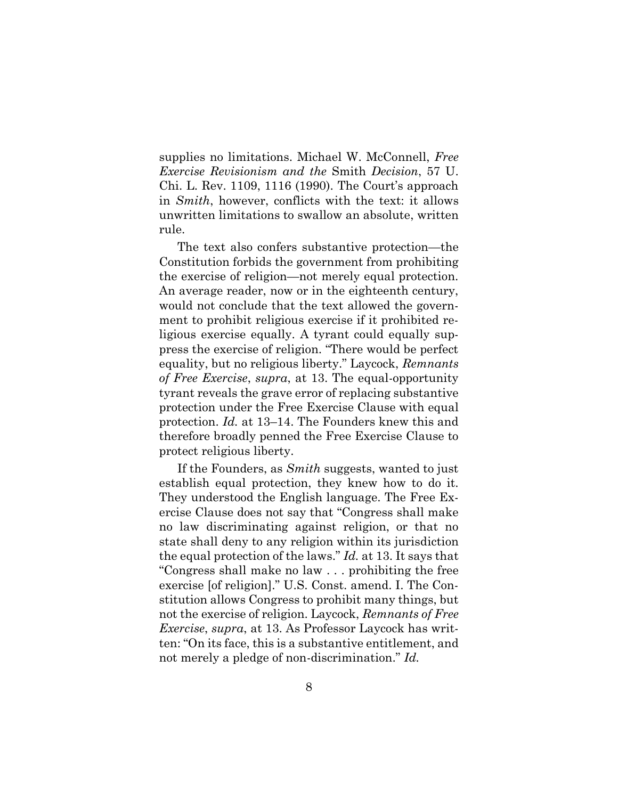supplies no limitations. Michael W. McConnell, *Free Exercise Revisionism and the* Smith *Decision*, 57 U. Chi. L. Rev. 1109, 1116 (1990). The Court's approach in *Smith*, however, conflicts with the text: it allows unwritten limitations to swallow an absolute, written rule.

The text also confers substantive protection—the Constitution forbids the government from prohibiting the exercise of religion—not merely equal protection. An average reader, now or in the eighteenth century, would not conclude that the text allowed the government to prohibit religious exercise if it prohibited religious exercise equally. A tyrant could equally suppress the exercise of religion. "There would be perfect equality, but no religious liberty." Laycock, *Remnants of Free Exercise*, *supra*, at 13. The equal-opportunity tyrant reveals the grave error of replacing substantive protection under the Free Exercise Clause with equal protection. *Id.* at 13–14. The Founders knew this and therefore broadly penned the Free Exercise Clause to protect religious liberty.

If the Founders, as *Smith* suggests, wanted to just establish equal protection, they knew how to do it. They understood the English language. The Free Exercise Clause does not say that "Congress shall make no law discriminating against religion, or that no state shall deny to any religion within its jurisdiction the equal protection of the laws." *Id.* at 13. It says that "Congress shall make no law . . . prohibiting the free exercise [of religion]." U.S. Const. amend. I. The Constitution allows Congress to prohibit many things, but not the exercise of religion. Laycock, *Remnants of Free Exercise*, *supra*, at 13. As Professor Laycock has written: "On its face, this is a substantive entitlement, and not merely a pledge of non-discrimination." *Id.*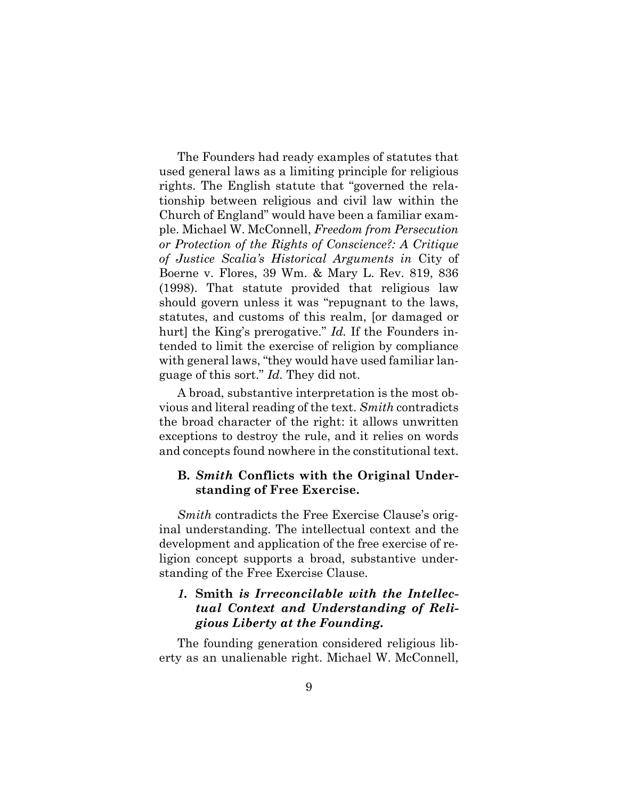The Founders had ready examples of statutes that used general laws as a limiting principle for religious rights. The English statute that "governed the relationship between religious and civil law within the Church of England" would have been a familiar example. Michael W. McConnell, *Freedom from Persecution or Protection of the Rights of Conscience?: A Critique of Justice Scalia's Historical Arguments in* City of Boerne v. Flores, 39 Wm. & Mary L. Rev. 819, 836 (1998). That statute provided that religious law should govern unless it was "repugnant to the laws, statutes, and customs of this realm, [or damaged or hurt] the King's prerogative." *Id.* If the Founders intended to limit the exercise of religion by compliance with general laws, "they would have used familiar language of this sort." *Id.* They did not.

A broad, substantive interpretation is the most obvious and literal reading of the text. *Smith* contradicts the broad character of the right: it allows unwritten exceptions to destroy the rule, and it relies on words and concepts found nowhere in the constitutional text.

#### **B.** *Smith* **Conflicts with the Original Understanding of Free Exercise.**

*Smith* contradicts the Free Exercise Clause's original understanding. The intellectual context and the development and application of the free exercise of religion concept supports a broad, substantive understanding of the Free Exercise Clause.

### *1.* **Smith** *is Irreconcilable with the Intellectual Context and Understanding of Religious Liberty at the Founding.*

The founding generation considered religious liberty as an unalienable right. Michael W. McConnell,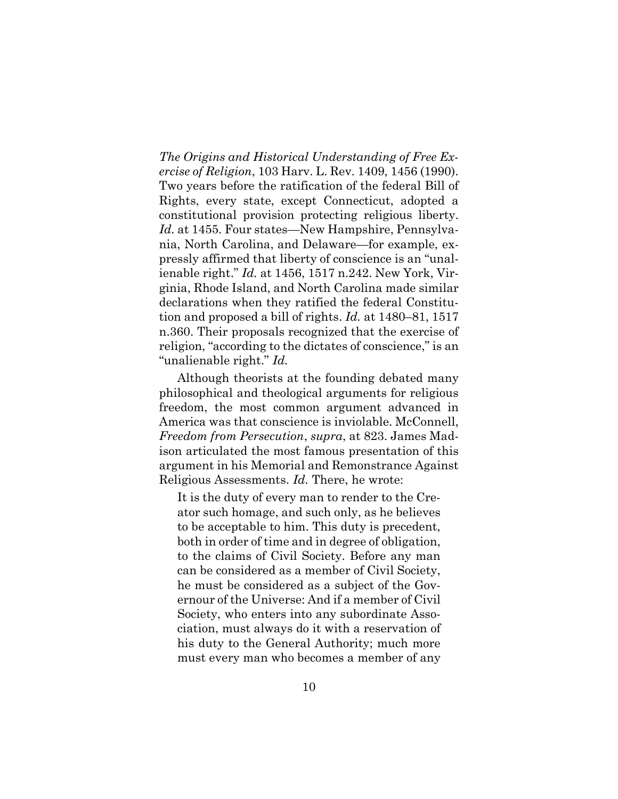*The Origins and Historical Understanding of Free Exercise of Religion*, 103 Harv. L. Rev. 1409, 1456 (1990). Two years before the ratification of the federal Bill of Rights, every state, except Connecticut, adopted a constitutional provision protecting religious liberty. *Id.* at 1455. Four states—New Hampshire, Pennsylvania, North Carolina, and Delaware—for example, expressly affirmed that liberty of conscience is an "unalienable right." *Id.* at 1456, 1517 n.242. New York, Virginia, Rhode Island, and North Carolina made similar declarations when they ratified the federal Constitution and proposed a bill of rights. *Id.* at 1480–81, 1517 n.360. Their proposals recognized that the exercise of religion, "according to the dictates of conscience," is an "unalienable right." *Id.* 

Although theorists at the founding debated many philosophical and theological arguments for religious freedom, the most common argument advanced in America was that conscience is inviolable. McConnell, *Freedom from Persecution*, *supra*, at 823. James Madison articulated the most famous presentation of this argument in his Memorial and Remonstrance Against Religious Assessments. *Id.* There, he wrote:

It is the duty of every man to render to the Creator such homage, and such only, as he believes to be acceptable to him. This duty is precedent, both in order of time and in degree of obligation, to the claims of Civil Society. Before any man can be considered as a member of Civil Society, he must be considered as a subject of the Governour of the Universe: And if a member of Civil Society, who enters into any subordinate Association, must always do it with a reservation of his duty to the General Authority; much more must every man who becomes a member of any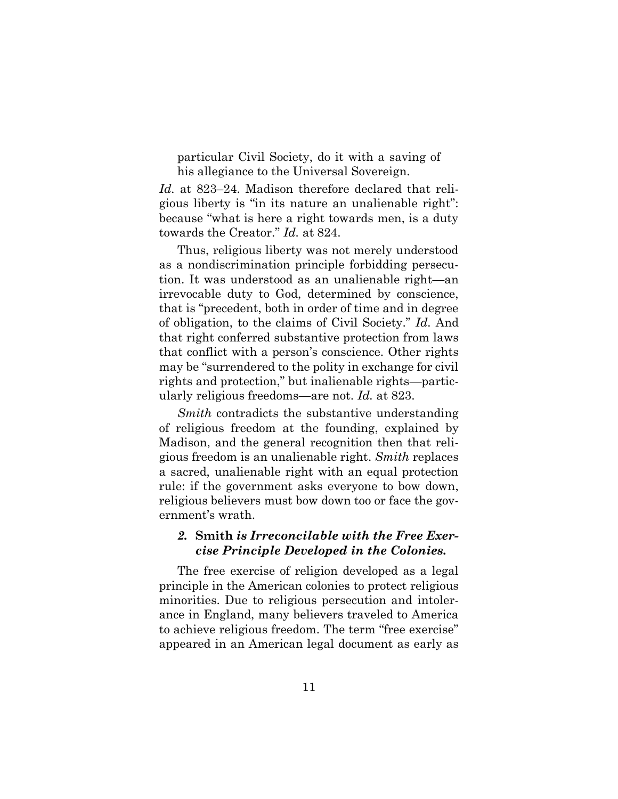particular Civil Society, do it with a saving of his allegiance to the Universal Sovereign.

*Id.* at 823–24. Madison therefore declared that religious liberty is "in its nature an unalienable right": because "what is here a right towards men, is a duty towards the Creator." *Id.* at 824.

Thus, religious liberty was not merely understood as a nondiscrimination principle forbidding persecution. It was understood as an unalienable right—an irrevocable duty to God, determined by conscience, that is "precedent, both in order of time and in degree of obligation, to the claims of Civil Society." *Id.* And that right conferred substantive protection from laws that conflict with a person's conscience. Other rights may be "surrendered to the polity in exchange for civil rights and protection," but inalienable rights—particularly religious freedoms—are not. *Id.* at 823.

*Smith* contradicts the substantive understanding of religious freedom at the founding, explained by Madison, and the general recognition then that religious freedom is an unalienable right. *Smith* replaces a sacred, unalienable right with an equal protection rule: if the government asks everyone to bow down, religious believers must bow down too or face the government's wrath.

#### *2.* **Smith** *is Irreconcilable with the Free Exercise Principle Developed in the Colonies.*

The free exercise of religion developed as a legal principle in the American colonies to protect religious minorities. Due to religious persecution and intolerance in England, many believers traveled to America to achieve religious freedom. The term "free exercise" appeared in an American legal document as early as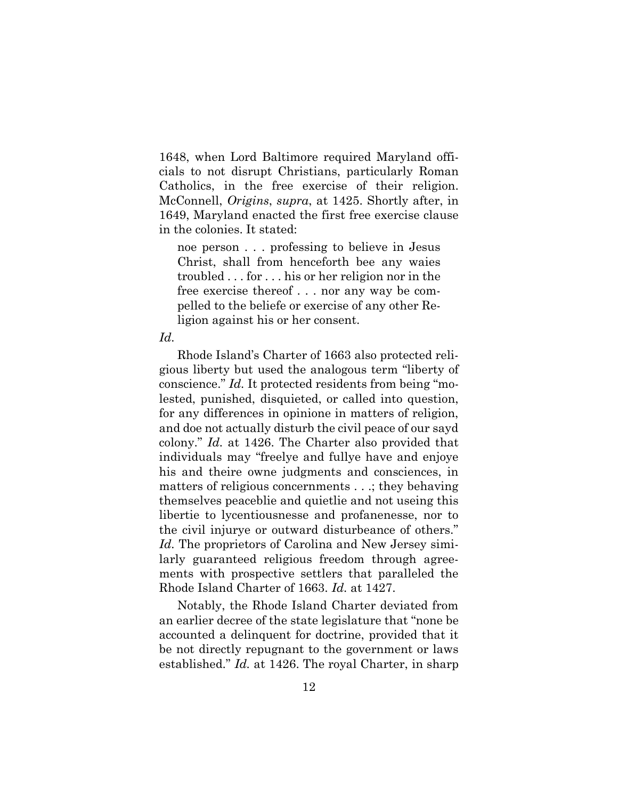1648, when Lord Baltimore required Maryland officials to not disrupt Christians, particularly Roman Catholics, in the free exercise of their religion. McConnell, *Origins*, *supra*, at 1425. Shortly after, in 1649, Maryland enacted the first free exercise clause in the colonies. It stated:

noe person . . . professing to believe in Jesus Christ, shall from henceforth bee any waies troubled . . . for . . . his or her religion nor in the free exercise thereof . . . nor any way be compelled to the beliefe or exercise of any other Religion against his or her consent.

#### *Id.*

Rhode Island's Charter of 1663 also protected religious liberty but used the analogous term "liberty of conscience." *Id.* It protected residents from being "molested, punished, disquieted, or called into question, for any differences in opinione in matters of religion, and doe not actually disturb the civil peace of our sayd colony." *Id.* at 1426. The Charter also provided that individuals may "freelye and fullye have and enjoye his and theire owne judgments and consciences, in matters of religious concernments . . .; they behaving themselves peaceblie and quietlie and not useing this libertie to lycentiousnesse and profanenesse, nor to the civil injurye or outward disturbeance of others." Id. The proprietors of Carolina and New Jersey similarly guaranteed religious freedom through agreements with prospective settlers that paralleled the Rhode Island Charter of 1663. *Id.* at 1427.

Notably, the Rhode Island Charter deviated from an earlier decree of the state legislature that "none be accounted a delinquent for doctrine, provided that it be not directly repugnant to the government or laws established." *Id.* at 1426. The royal Charter, in sharp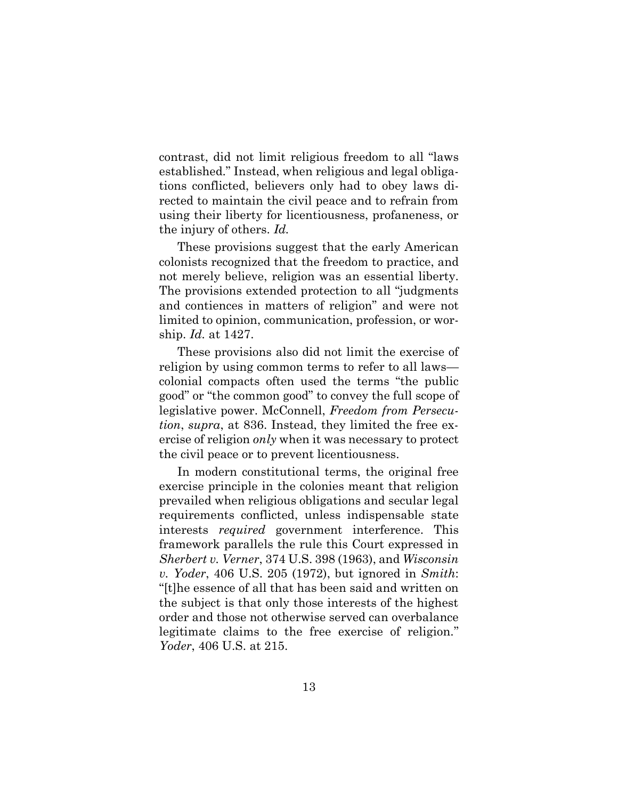contrast, did not limit religious freedom to all "laws established." Instead, when religious and legal obligations conflicted, believers only had to obey laws directed to maintain the civil peace and to refrain from using their liberty for licentiousness, profaneness, or the injury of others. *Id.* 

These provisions suggest that the early American colonists recognized that the freedom to practice, and not merely believe, religion was an essential liberty. The provisions extended protection to all "judgments and contiences in matters of religion" and were not limited to opinion, communication, profession, or worship. *Id.* at 1427.

These provisions also did not limit the exercise of religion by using common terms to refer to all laws colonial compacts often used the terms "the public good" or "the common good" to convey the full scope of legislative power. McConnell, *Freedom from Persecution*, *supra*, at 836. Instead, they limited the free exercise of religion *only* when it was necessary to protect the civil peace or to prevent licentiousness.

In modern constitutional terms, the original free exercise principle in the colonies meant that religion prevailed when religious obligations and secular legal requirements conflicted, unless indispensable state interests *required* government interference. This framework parallels the rule this Court expressed in *Sherbert v. Verner*, 374 U.S. 398 (1963), and *Wisconsin v. Yoder*, 406 U.S. 205 (1972), but ignored in *Smith*: "[t]he essence of all that has been said and written on the subject is that only those interests of the highest order and those not otherwise served can overbalance legitimate claims to the free exercise of religion." *Yoder*, 406 U.S. at 215.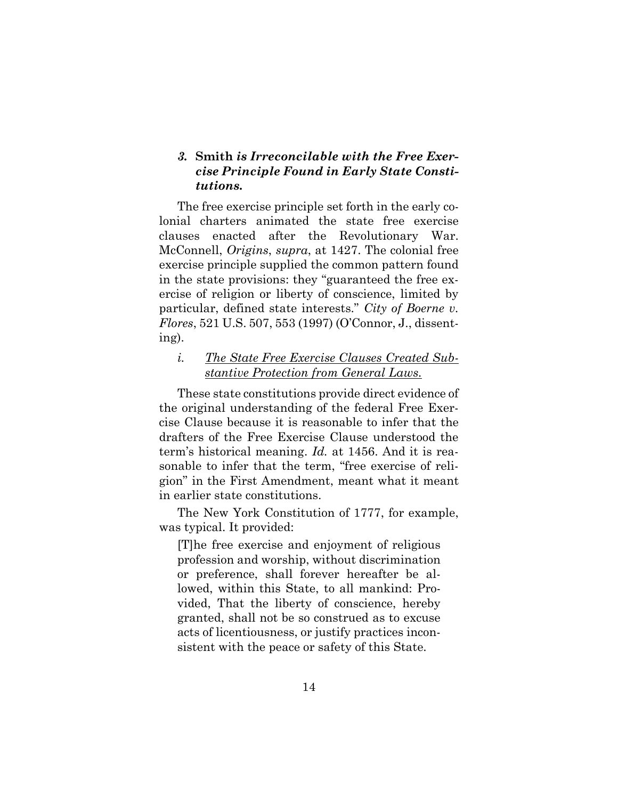### *3.* **Smith** *is Irreconcilable with the Free Exercise Principle Found in Early State Constitutions.*

The free exercise principle set forth in the early colonial charters animated the state free exercise clauses enacted after the Revolutionary War. McConnell, *Origins*, *supra*, at 1427. The colonial free exercise principle supplied the common pattern found in the state provisions: they "guaranteed the free exercise of religion or liberty of conscience, limited by particular, defined state interests." *City of Boerne v. Flores*, 521 U.S. 507, 553 (1997) (O'Connor, J., dissenting).

#### *i. The State Free Exercise Clauses Created Substantive Protection from General Laws.*

These state constitutions provide direct evidence of the original understanding of the federal Free Exercise Clause because it is reasonable to infer that the drafters of the Free Exercise Clause understood the term's historical meaning. *Id.* at 1456. And it is reasonable to infer that the term, "free exercise of religion" in the First Amendment, meant what it meant in earlier state constitutions.

The New York Constitution of 1777, for example, was typical. It provided:

[T]he free exercise and enjoyment of religious profession and worship, without discrimination or preference, shall forever hereafter be allowed, within this State, to all mankind: Provided, That the liberty of conscience, hereby granted, shall not be so construed as to excuse acts of licentiousness, or justify practices inconsistent with the peace or safety of this State.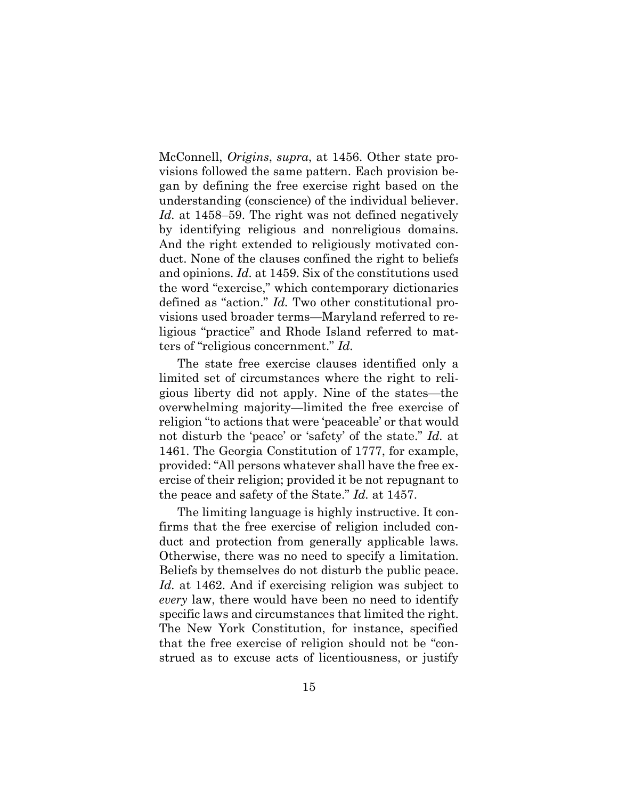McConnell, *Origins*, *supra*, at 1456. Other state provisions followed the same pattern. Each provision began by defining the free exercise right based on the understanding (conscience) of the individual believer. Id. at 1458–59. The right was not defined negatively by identifying religious and nonreligious domains. And the right extended to religiously motivated conduct. None of the clauses confined the right to beliefs and opinions. *Id.* at 1459. Six of the constitutions used the word "exercise," which contemporary dictionaries defined as "action." *Id.* Two other constitutional provisions used broader terms—Maryland referred to religious "practice" and Rhode Island referred to matters of "religious concernment." *Id.* 

The state free exercise clauses identified only a limited set of circumstances where the right to religious liberty did not apply. Nine of the states—the overwhelming majority—limited the free exercise of religion "to actions that were 'peaceable' or that would not disturb the 'peace' or 'safety' of the state." *Id.* at 1461. The Georgia Constitution of 1777, for example, provided: "All persons whatever shall have the free exercise of their religion; provided it be not repugnant to the peace and safety of the State." *Id.* at 1457.

The limiting language is highly instructive. It confirms that the free exercise of religion included conduct and protection from generally applicable laws. Otherwise, there was no need to specify a limitation. Beliefs by themselves do not disturb the public peace. *Id.* at 1462. And if exercising religion was subject to *every* law, there would have been no need to identify specific laws and circumstances that limited the right. The New York Constitution, for instance, specified that the free exercise of religion should not be "construed as to excuse acts of licentiousness, or justify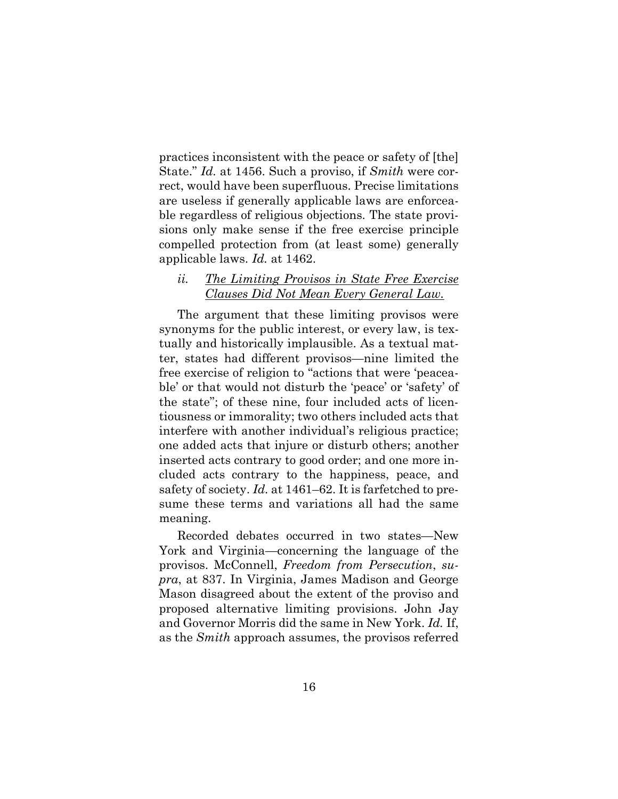practices inconsistent with the peace or safety of [the] State." *Id.* at 1456. Such a proviso, if *Smith* were correct, would have been superfluous. Precise limitations are useless if generally applicable laws are enforceable regardless of religious objections. The state provisions only make sense if the free exercise principle compelled protection from (at least some) generally applicable laws. *Id.* at 1462.

#### *ii. The Limiting Provisos in State Free Exercise Clauses Did Not Mean Every General Law.*

The argument that these limiting provisos were synonyms for the public interest, or every law, is textually and historically implausible. As a textual matter, states had different provisos—nine limited the free exercise of religion to "actions that were 'peaceable' or that would not disturb the 'peace' or 'safety' of the state"; of these nine, four included acts of licentiousness or immorality; two others included acts that interfere with another individual's religious practice; one added acts that injure or disturb others; another inserted acts contrary to good order; and one more included acts contrary to the happiness, peace, and safety of society. *Id.* at 1461–62. It is farfetched to presume these terms and variations all had the same meaning.

Recorded debates occurred in two states—New York and Virginia—concerning the language of the provisos. McConnell, *Freedom from Persecution*, *supra*, at 837. In Virginia, James Madison and George Mason disagreed about the extent of the proviso and proposed alternative limiting provisions. John Jay and Governor Morris did the same in New York. *Id.* If, as the *Smith* approach assumes, the provisos referred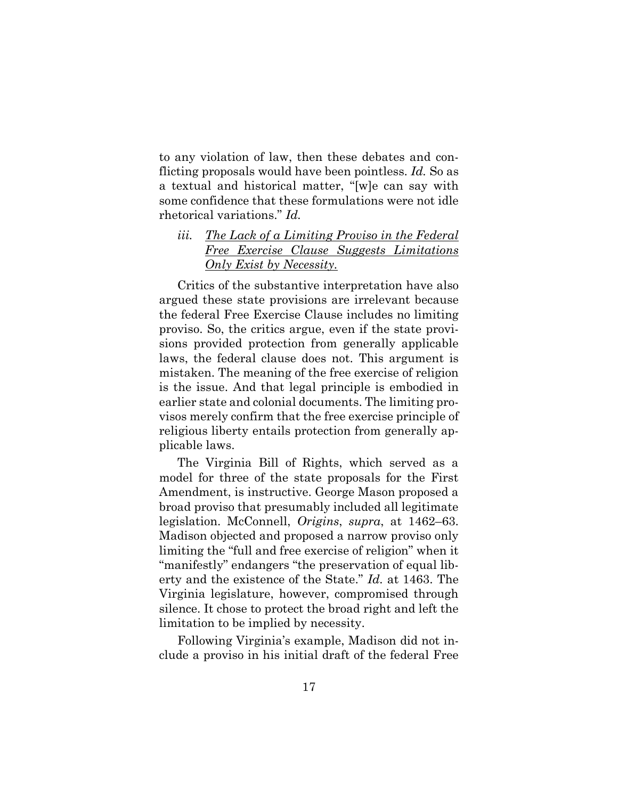to any violation of law, then these debates and conflicting proposals would have been pointless. *Id.* So as a textual and historical matter, "[w]e can say with some confidence that these formulations were not idle rhetorical variations." *Id.* 

### *iii. The Lack of a Limiting Proviso in the Federal Free Exercise Clause Suggests Limitations Only Exist by Necessity.*

Critics of the substantive interpretation have also argued these state provisions are irrelevant because the federal Free Exercise Clause includes no limiting proviso. So, the critics argue, even if the state provisions provided protection from generally applicable laws, the federal clause does not. This argument is mistaken. The meaning of the free exercise of religion is the issue. And that legal principle is embodied in earlier state and colonial documents. The limiting provisos merely confirm that the free exercise principle of religious liberty entails protection from generally applicable laws.

The Virginia Bill of Rights, which served as a model for three of the state proposals for the First Amendment, is instructive. George Mason proposed a broad proviso that presumably included all legitimate legislation. McConnell, *Origins*, *supra*, at 1462–63. Madison objected and proposed a narrow proviso only limiting the "full and free exercise of religion" when it "manifestly" endangers "the preservation of equal liberty and the existence of the State." *Id.* at 1463. The Virginia legislature, however, compromised through silence. It chose to protect the broad right and left the limitation to be implied by necessity.

Following Virginia's example, Madison did not include a proviso in his initial draft of the federal Free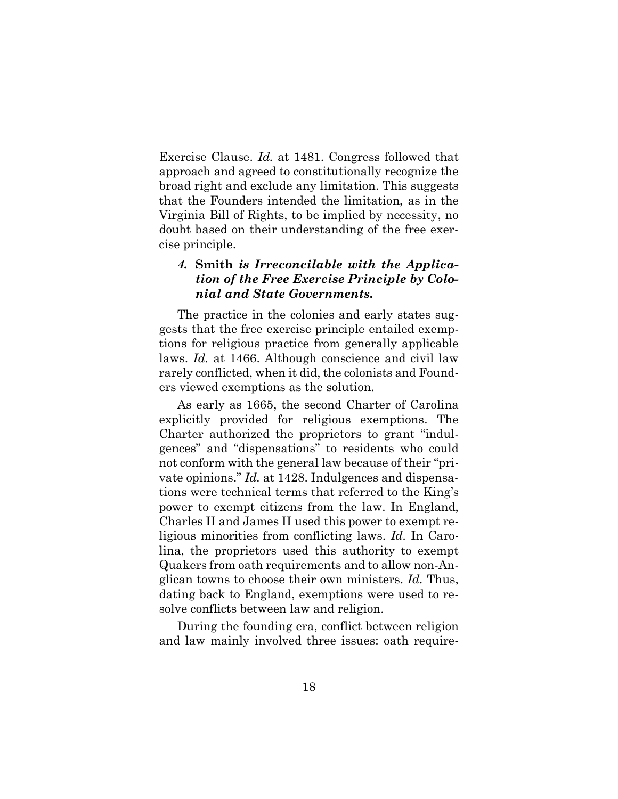Exercise Clause. *Id.* at 1481. Congress followed that approach and agreed to constitutionally recognize the broad right and exclude any limitation. This suggests that the Founders intended the limitation, as in the Virginia Bill of Rights, to be implied by necessity, no doubt based on their understanding of the free exercise principle.

### *4.* **Smith** *is Irreconcilable with the Application of the Free Exercise Principle by Colonial and State Governments.*

The practice in the colonies and early states suggests that the free exercise principle entailed exemptions for religious practice from generally applicable laws. *Id.* at 1466. Although conscience and civil law rarely conflicted, when it did, the colonists and Founders viewed exemptions as the solution.

As early as 1665, the second Charter of Carolina explicitly provided for religious exemptions. The Charter authorized the proprietors to grant "indulgences" and "dispensations" to residents who could not conform with the general law because of their "private opinions." *Id.* at 1428. Indulgences and dispensations were technical terms that referred to the King's power to exempt citizens from the law. In England, Charles II and James II used this power to exempt religious minorities from conflicting laws. *Id.* In Carolina, the proprietors used this authority to exempt Quakers from oath requirements and to allow non-Anglican towns to choose their own ministers. *Id.* Thus, dating back to England, exemptions were used to resolve conflicts between law and religion.

During the founding era, conflict between religion and law mainly involved three issues: oath require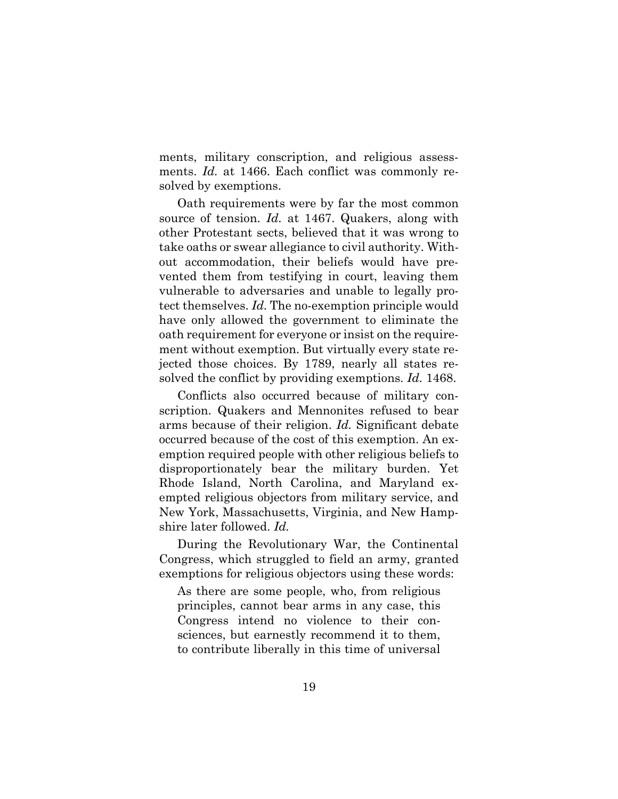ments, military conscription, and religious assessments. *Id.* at 1466. Each conflict was commonly resolved by exemptions.

Oath requirements were by far the most common source of tension. *Id.* at 1467. Quakers, along with other Protestant sects, believed that it was wrong to take oaths or swear allegiance to civil authority. Without accommodation, their beliefs would have prevented them from testifying in court, leaving them vulnerable to adversaries and unable to legally protect themselves. *Id.* The no-exemption principle would have only allowed the government to eliminate the oath requirement for everyone or insist on the requirement without exemption. But virtually every state rejected those choices. By 1789, nearly all states resolved the conflict by providing exemptions. *Id.* 1468.

Conflicts also occurred because of military conscription. Quakers and Mennonites refused to bear arms because of their religion. *Id.* Significant debate occurred because of the cost of this exemption. An exemption required people with other religious beliefs to disproportionately bear the military burden. Yet Rhode Island, North Carolina, and Maryland exempted religious objectors from military service, and New York, Massachusetts, Virginia, and New Hampshire later followed. *Id.* 

During the Revolutionary War, the Continental Congress, which struggled to field an army, granted exemptions for religious objectors using these words:

As there are some people, who, from religious principles, cannot bear arms in any case, this Congress intend no violence to their consciences, but earnestly recommend it to them, to contribute liberally in this time of universal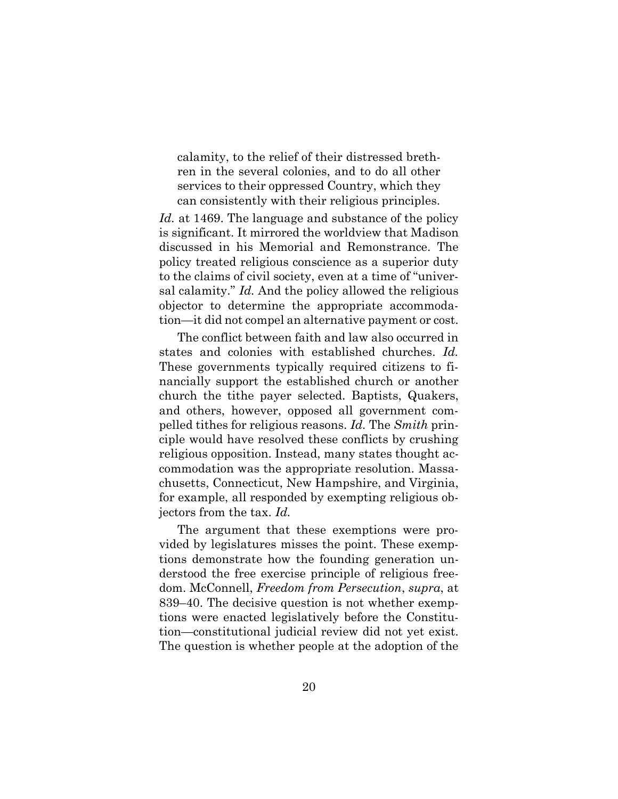calamity, to the relief of their distressed brethren in the several colonies, and to do all other services to their oppressed Country, which they can consistently with their religious principles.

*Id.* at 1469. The language and substance of the policy is significant. It mirrored the worldview that Madison discussed in his Memorial and Remonstrance. The policy treated religious conscience as a superior duty to the claims of civil society, even at a time of "universal calamity." *Id.* And the policy allowed the religious objector to determine the appropriate accommodation—it did not compel an alternative payment or cost.

The conflict between faith and law also occurred in states and colonies with established churches. *Id.*  These governments typically required citizens to financially support the established church or another church the tithe payer selected. Baptists, Quakers, and others, however, opposed all government compelled tithes for religious reasons. *Id.* The *Smith* principle would have resolved these conflicts by crushing religious opposition. Instead, many states thought accommodation was the appropriate resolution. Massachusetts, Connecticut, New Hampshire, and Virginia, for example, all responded by exempting religious objectors from the tax. *Id.* 

The argument that these exemptions were provided by legislatures misses the point. These exemptions demonstrate how the founding generation understood the free exercise principle of religious freedom. McConnell, *Freedom from Persecution*, *supra*, at 839–40. The decisive question is not whether exemptions were enacted legislatively before the Constitution—constitutional judicial review did not yet exist. The question is whether people at the adoption of the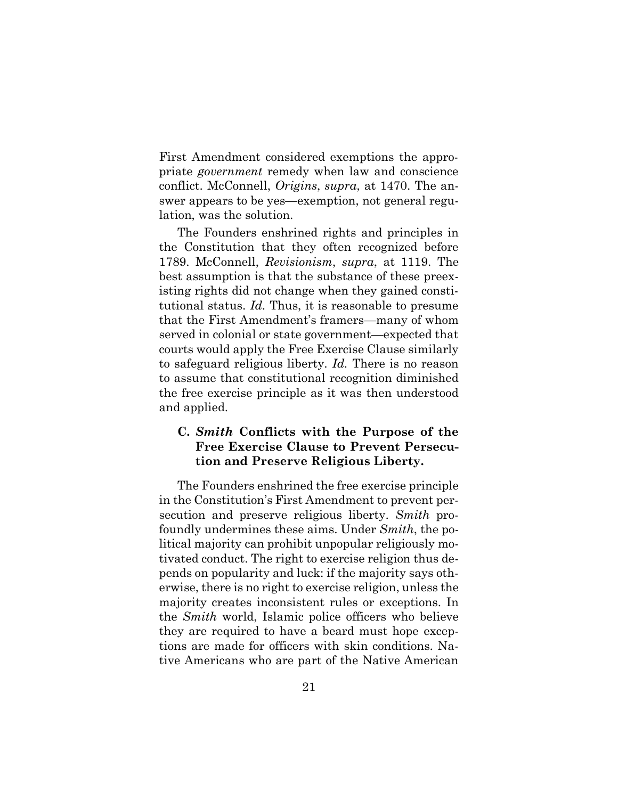First Amendment considered exemptions the appropriate *government* remedy when law and conscience conflict. McConnell, *Origins*, *supra*, at 1470. The answer appears to be yes—exemption, not general regulation, was the solution.

The Founders enshrined rights and principles in the Constitution that they often recognized before 1789. McConnell, *Revisionism*, *supra*, at 1119. The best assumption is that the substance of these preexisting rights did not change when they gained constitutional status. *Id.* Thus, it is reasonable to presume that the First Amendment's framers—many of whom served in colonial or state government—expected that courts would apply the Free Exercise Clause similarly to safeguard religious liberty. *Id.* There is no reason to assume that constitutional recognition diminished the free exercise principle as it was then understood and applied.

## **C.** *Smith* **Conflicts with the Purpose of the Free Exercise Clause to Prevent Persecution and Preserve Religious Liberty.**

The Founders enshrined the free exercise principle in the Constitution's First Amendment to prevent persecution and preserve religious liberty. *Smith* profoundly undermines these aims. Under *Smith*, the political majority can prohibit unpopular religiously motivated conduct. The right to exercise religion thus depends on popularity and luck: if the majority says otherwise, there is no right to exercise religion, unless the majority creates inconsistent rules or exceptions. In the *Smith* world, Islamic police officers who believe they are required to have a beard must hope exceptions are made for officers with skin conditions. Native Americans who are part of the Native American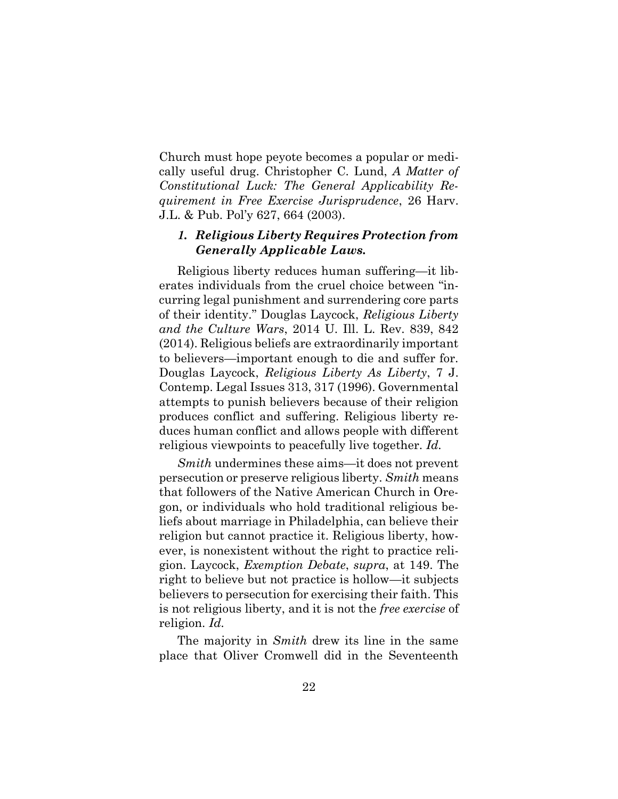Church must hope peyote becomes a popular or medically useful drug. Christopher C. Lund, *A Matter of Constitutional Luck: The General Applicability Requirement in Free Exercise Jurisprudence*, 26 Harv. J.L. & Pub. Pol'y 627, 664 (2003).

#### *1. Religious Liberty Requires Protection from Generally Applicable Laws.*

Religious liberty reduces human suffering—it liberates individuals from the cruel choice between "incurring legal punishment and surrendering core parts of their identity." Douglas Laycock, *Religious Liberty and the Culture Wars*, 2014 U. Ill. L. Rev. 839, 842 (2014). Religious beliefs are extraordinarily important to believers—important enough to die and suffer for. Douglas Laycock, *Religious Liberty As Liberty*, 7 J. Contemp. Legal Issues 313, 317 (1996). Governmental attempts to punish believers because of their religion produces conflict and suffering. Religious liberty reduces human conflict and allows people with different religious viewpoints to peacefully live together. *Id.*

*Smith* undermines these aims—it does not prevent persecution or preserve religious liberty. *Smith* means that followers of the Native American Church in Oregon, or individuals who hold traditional religious beliefs about marriage in Philadelphia, can believe their religion but cannot practice it. Religious liberty, however, is nonexistent without the right to practice religion. Laycock, *Exemption Debate*, *supra*, at 149. The right to believe but not practice is hollow—it subjects believers to persecution for exercising their faith. This is not religious liberty, and it is not the *free exercise* of religion. *Id.* 

The majority in *Smith* drew its line in the same place that Oliver Cromwell did in the Seventeenth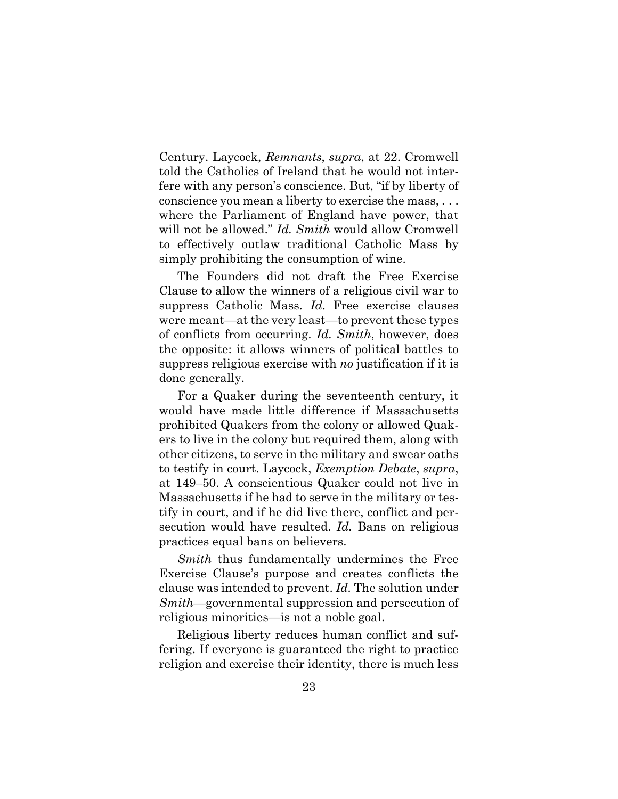Century. Laycock, *Remnants*, *supra*, at 22. Cromwell told the Catholics of Ireland that he would not interfere with any person's conscience. But, "if by liberty of conscience you mean a liberty to exercise the mass, . . . where the Parliament of England have power, that will not be allowed." *Id. Smith* would allow Cromwell to effectively outlaw traditional Catholic Mass by simply prohibiting the consumption of wine.

The Founders did not draft the Free Exercise Clause to allow the winners of a religious civil war to suppress Catholic Mass. *Id.* Free exercise clauses were meant—at the very least—to prevent these types of conflicts from occurring. *Id. Smith*, however, does the opposite: it allows winners of political battles to suppress religious exercise with *no* justification if it is done generally.

For a Quaker during the seventeenth century, it would have made little difference if Massachusetts prohibited Quakers from the colony or allowed Quakers to live in the colony but required them, along with other citizens, to serve in the military and swear oaths to testify in court. Laycock, *Exemption Debate*, *supra*, at 149–50. A conscientious Quaker could not live in Massachusetts if he had to serve in the military or testify in court, and if he did live there, conflict and persecution would have resulted. *Id.* Bans on religious practices equal bans on believers.

*Smith* thus fundamentally undermines the Free Exercise Clause's purpose and creates conflicts the clause was intended to prevent. *Id.* The solution under *Smith*—governmental suppression and persecution of religious minorities—is not a noble goal.

Religious liberty reduces human conflict and suffering. If everyone is guaranteed the right to practice religion and exercise their identity, there is much less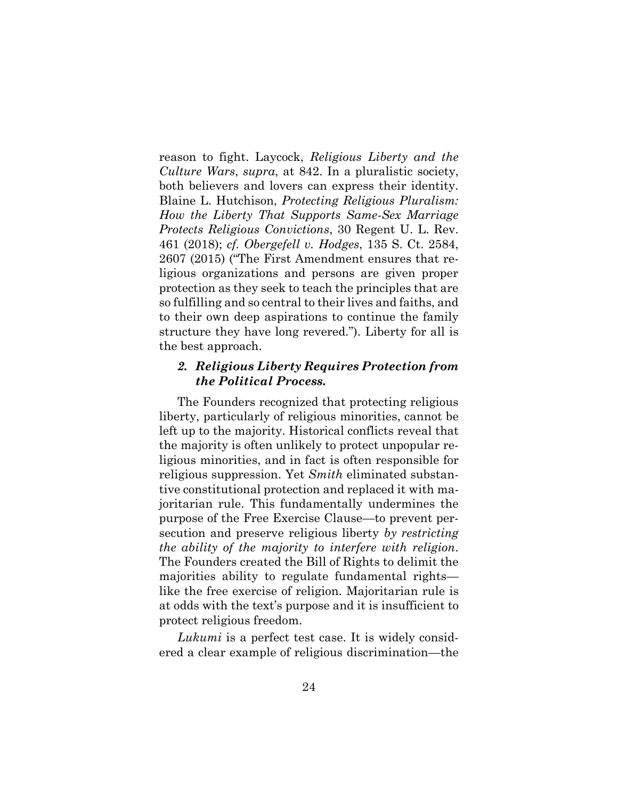reason to fight. Laycock, *Religious Liberty and the Culture Wars*, *supra*, at 842. In a pluralistic society, both believers and lovers can express their identity. Blaine L. Hutchison, *Protecting Religious Pluralism: How the Liberty That Supports Same-Sex Marriage Protects Religious Convictions*, 30 Regent U. L. Rev. 461 (2018); *cf. Obergefell v. Hodges*, 135 S. Ct. 2584, 2607 (2015) ("The First Amendment ensures that religious organizations and persons are given proper protection as they seek to teach the principles that are so fulfilling and so central to their lives and faiths, and to their own deep aspirations to continue the family structure they have long revered."). Liberty for all is the best approach.

#### *2. Religious Liberty Requires Protection from the Political Process.*

The Founders recognized that protecting religious liberty, particularly of religious minorities, cannot be left up to the majority. Historical conflicts reveal that the majority is often unlikely to protect unpopular religious minorities, and in fact is often responsible for religious suppression. Yet *Smith* eliminated substantive constitutional protection and replaced it with majoritarian rule. This fundamentally undermines the purpose of the Free Exercise Clause—to prevent persecution and preserve religious liberty *by restricting the ability of the majority to interfere with religion*. The Founders created the Bill of Rights to delimit the majorities ability to regulate fundamental rights like the free exercise of religion. Majoritarian rule is at odds with the text's purpose and it is insufficient to protect religious freedom.

*Lukumi* is a perfect test case. It is widely considered a clear example of religious discrimination—the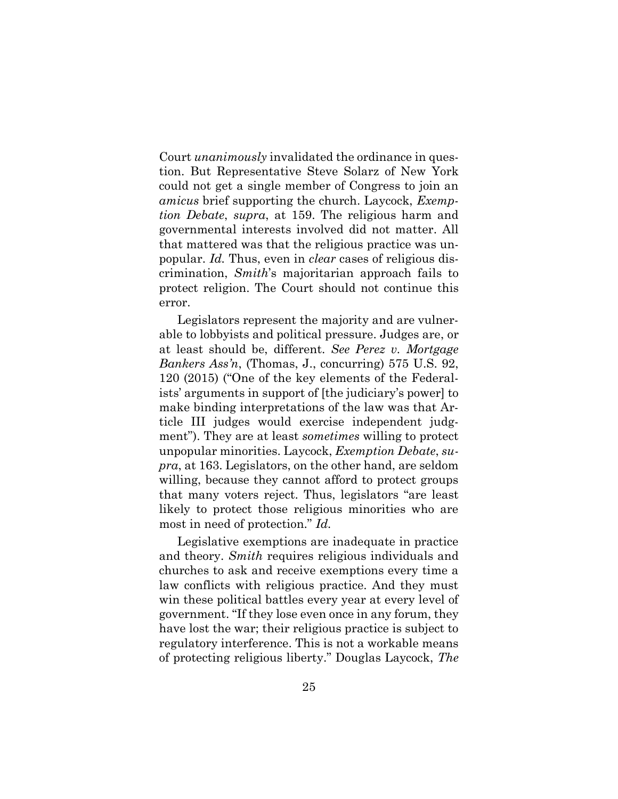Court *unanimously* invalidated the ordinance in question. But Representative Steve Solarz of New York could not get a single member of Congress to join an *amicus* brief supporting the church. Laycock, *Exemption Debate*, *supra*, at 159. The religious harm and governmental interests involved did not matter. All that mattered was that the religious practice was unpopular. *Id.* Thus, even in *clear* cases of religious discrimination, *Smith*'s majoritarian approach fails to protect religion. The Court should not continue this error.

Legislators represent the majority and are vulnerable to lobbyists and political pressure. Judges are, or at least should be, different. *See Perez v. Mortgage Bankers Ass'n*, (Thomas, J., concurring) 575 U.S. 92, 120 (2015) ("One of the key elements of the Federalists' arguments in support of [the judiciary's power] to make binding interpretations of the law was that Article III judges would exercise independent judgment"). They are at least *sometimes* willing to protect unpopular minorities. Laycock, *Exemption Debate*, *supra*, at 163. Legislators, on the other hand, are seldom willing, because they cannot afford to protect groups that many voters reject. Thus, legislators "are least likely to protect those religious minorities who are most in need of protection." *Id.* 

Legislative exemptions are inadequate in practice and theory. *Smith* requires religious individuals and churches to ask and receive exemptions every time a law conflicts with religious practice. And they must win these political battles every year at every level of government. "If they lose even once in any forum, they have lost the war; their religious practice is subject to regulatory interference. This is not a workable means of protecting religious liberty." Douglas Laycock, *The*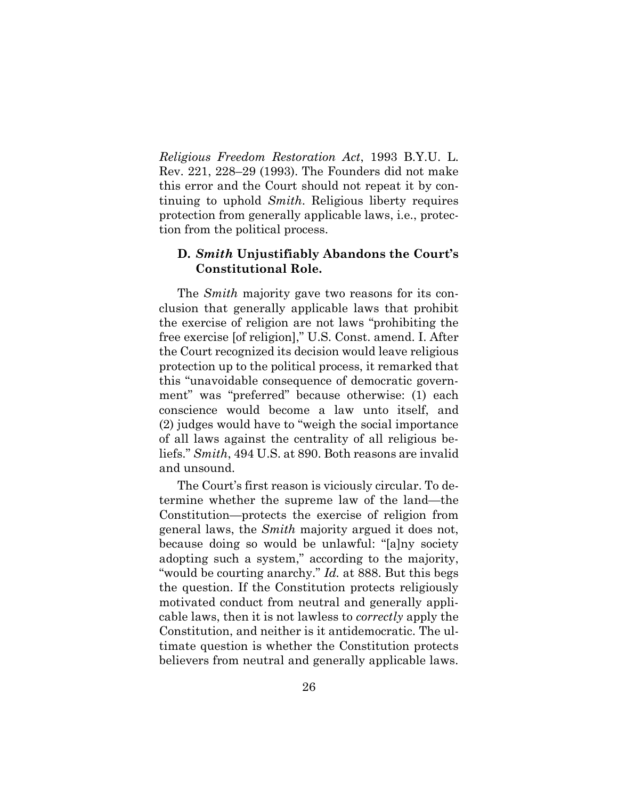*Religious Freedom Restoration Act*, 1993 B.Y.U. L. Rev. 221, 228–29 (1993). The Founders did not make this error and the Court should not repeat it by continuing to uphold *Smith*. Religious liberty requires protection from generally applicable laws, i.e., protection from the political process.

#### **D.** *Smith* **Unjustifiably Abandons the Court's Constitutional Role.**

The *Smith* majority gave two reasons for its conclusion that generally applicable laws that prohibit the exercise of religion are not laws "prohibiting the free exercise [of religion]," U.S. Const. amend. I. After the Court recognized its decision would leave religious protection up to the political process, it remarked that this "unavoidable consequence of democratic government" was "preferred" because otherwise: (1) each conscience would become a law unto itself, and (2) judges would have to "weigh the social importance of all laws against the centrality of all religious beliefs." *Smith*, 494 U.S. at 890. Both reasons are invalid and unsound.

The Court's first reason is viciously circular. To determine whether the supreme law of the land—the Constitution—protects the exercise of religion from general laws, the *Smith* majority argued it does not, because doing so would be unlawful: "[a]ny society adopting such a system," according to the majority, "would be courting anarchy." *Id.* at 888. But this begs the question. If the Constitution protects religiously motivated conduct from neutral and generally applicable laws, then it is not lawless to *correctly* apply the Constitution, and neither is it antidemocratic. The ultimate question is whether the Constitution protects believers from neutral and generally applicable laws.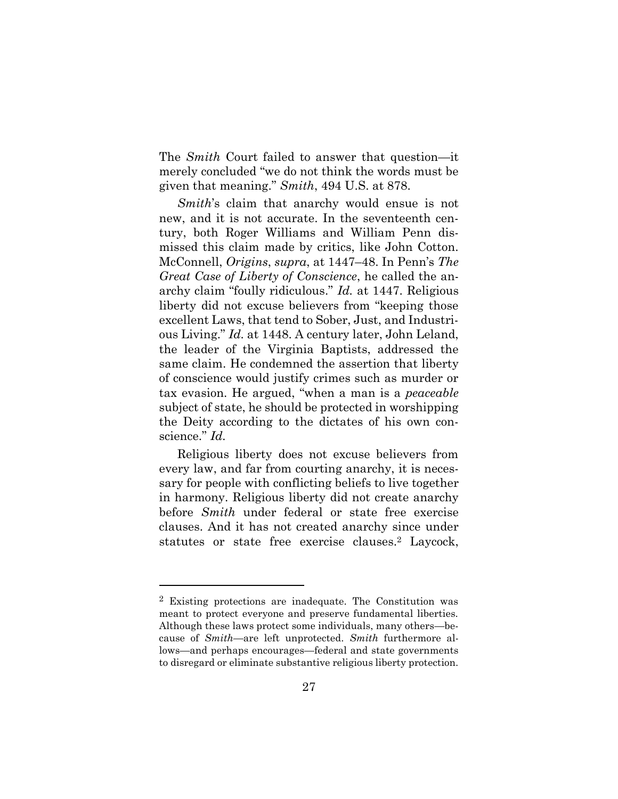The *Smith* Court failed to answer that question—it merely concluded "we do not think the words must be given that meaning." *Smith*, 494 U.S. at 878.

*Smith*'s claim that anarchy would ensue is not new, and it is not accurate. In the seventeenth century, both Roger Williams and William Penn dismissed this claim made by critics, like John Cotton. McConnell, *Origins*, *supra*, at 1447–48. In Penn's *The Great Case of Liberty of Conscience*, he called the anarchy claim "foully ridiculous." *Id.* at 1447. Religious liberty did not excuse believers from "keeping those excellent Laws, that tend to Sober, Just, and Industrious Living." *Id.* at 1448. A century later, John Leland, the leader of the Virginia Baptists, addressed the same claim. He condemned the assertion that liberty of conscience would justify crimes such as murder or tax evasion. He argued, "when a man is a *peaceable* subject of state, he should be protected in worshipping the Deity according to the dictates of his own conscience." *Id.* 

Religious liberty does not excuse believers from every law, and far from courting anarchy, it is necessary for people with conflicting beliefs to live together in harmony. Religious liberty did not create anarchy before *Smith* under federal or state free exercise clauses. And it has not created anarchy since under statutes or state free exercise clauses. <sup>2</sup> Laycock,

<sup>2</sup> Existing protections are inadequate. The Constitution was meant to protect everyone and preserve fundamental liberties. Although these laws protect some individuals, many others—because of *Smith—*are left unprotected. *Smith* furthermore allows—and perhaps encourages—federal and state governments to disregard or eliminate substantive religious liberty protection.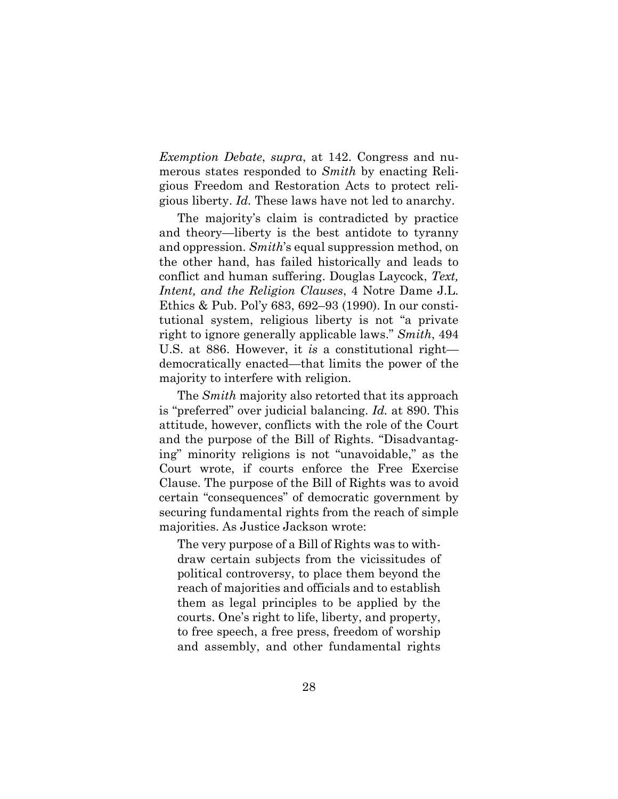*Exemption Debate*, *supra*, at 142. Congress and numerous states responded to *Smith* by enacting Religious Freedom and Restoration Acts to protect religious liberty. *Id.* These laws have not led to anarchy.

The majority's claim is contradicted by practice and theory—liberty is the best antidote to tyranny and oppression. *Smith*'s equal suppression method, on the other hand, has failed historically and leads to conflict and human suffering. Douglas Laycock, *Text, Intent, and the Religion Clauses*, 4 Notre Dame J.L. Ethics & Pub. Pol'y 683, 692–93 (1990). In our constitutional system, religious liberty is not "a private right to ignore generally applicable laws." *Smith*, 494 U.S. at 886. However, it *is* a constitutional right democratically enacted—that limits the power of the majority to interfere with religion.

The *Smith* majority also retorted that its approach is "preferred" over judicial balancing. *Id.* at 890. This attitude, however, conflicts with the role of the Court and the purpose of the Bill of Rights. "Disadvantaging" minority religions is not "unavoidable," as the Court wrote, if courts enforce the Free Exercise Clause. The purpose of the Bill of Rights was to avoid certain "consequences" of democratic government by securing fundamental rights from the reach of simple majorities. As Justice Jackson wrote:

The very purpose of a Bill of Rights was to withdraw certain subjects from the vicissitudes of political controversy, to place them beyond the reach of majorities and officials and to establish them as legal principles to be applied by the courts. One's right to life, liberty, and property, to free speech, a free press, freedom of worship and assembly, and other fundamental rights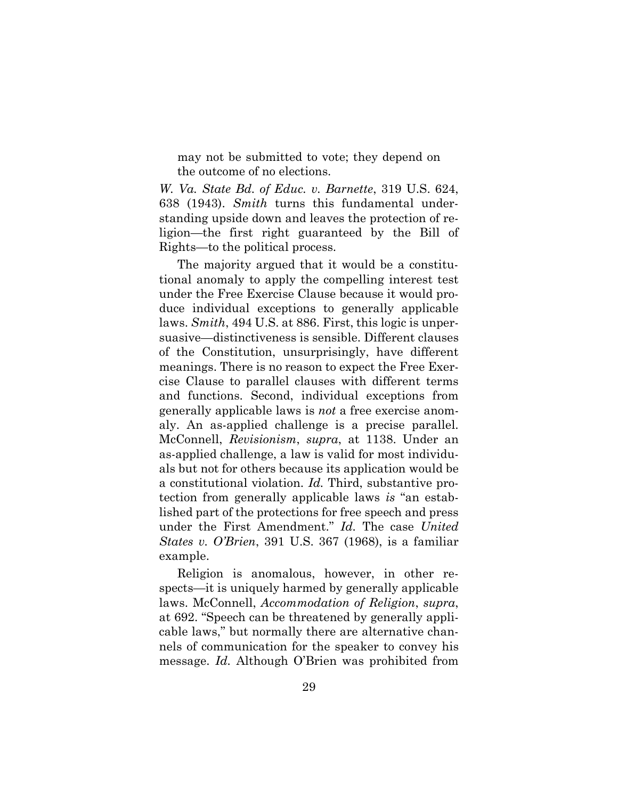may not be submitted to vote; they depend on the outcome of no elections.

*W. Va. State Bd. of Educ. v. Barnette*, 319 U.S. 624, 638 (1943). *Smith* turns this fundamental understanding upside down and leaves the protection of religion—the first right guaranteed by the Bill of Rights—to the political process.

The majority argued that it would be a constitutional anomaly to apply the compelling interest test under the Free Exercise Clause because it would produce individual exceptions to generally applicable laws. *Smith*, 494 U.S. at 886. First, this logic is unpersuasive—distinctiveness is sensible. Different clauses of the Constitution, unsurprisingly, have different meanings. There is no reason to expect the Free Exercise Clause to parallel clauses with different terms and functions. Second, individual exceptions from generally applicable laws is *not* a free exercise anomaly. An as-applied challenge is a precise parallel. McConnell, *Revisionism*, *supra*, at 1138. Under an as-applied challenge, a law is valid for most individuals but not for others because its application would be a constitutional violation. *Id.* Third, substantive protection from generally applicable laws *is* "an established part of the protections for free speech and press under the First Amendment." *Id.* The case *United States v. O'Brien*, 391 U.S. 367 (1968), is a familiar example.

Religion is anomalous, however, in other respects—it is uniquely harmed by generally applicable laws. McConnell, *Accommodation of Religion*, *supra*, at 692. "Speech can be threatened by generally applicable laws," but normally there are alternative channels of communication for the speaker to convey his message. *Id.* Although O'Brien was prohibited from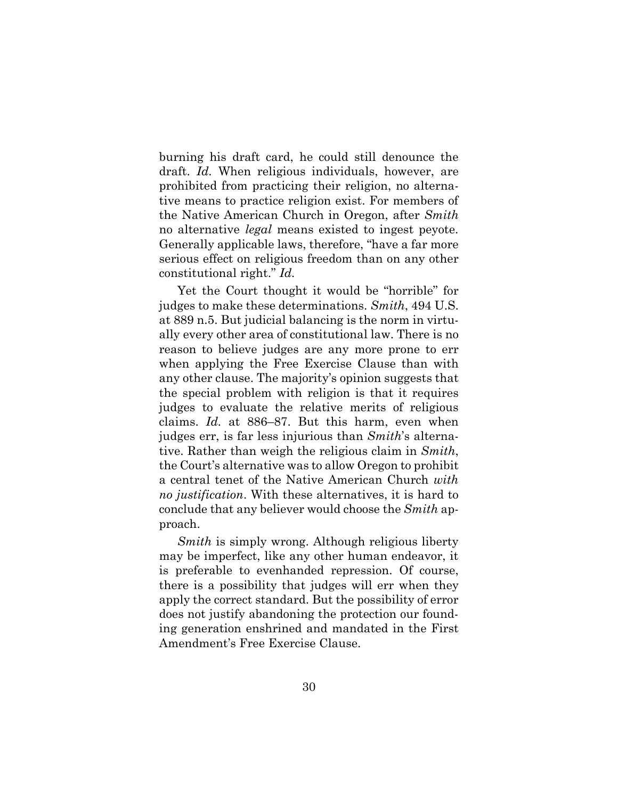burning his draft card, he could still denounce the draft. *Id.* When religious individuals, however, are prohibited from practicing their religion, no alternative means to practice religion exist. For members of the Native American Church in Oregon, after *Smith*  no alternative *legal* means existed to ingest peyote. Generally applicable laws, therefore, "have a far more serious effect on religious freedom than on any other constitutional right." *Id.*

Yet the Court thought it would be "horrible" for judges to make these determinations. *Smith*, 494 U.S. at 889 n.5. But judicial balancing is the norm in virtually every other area of constitutional law. There is no reason to believe judges are any more prone to err when applying the Free Exercise Clause than with any other clause. The majority's opinion suggests that the special problem with religion is that it requires judges to evaluate the relative merits of religious claims. *Id.* at 886–87. But this harm, even when judges err, is far less injurious than *Smith*'s alternative. Rather than weigh the religious claim in *Smith*, the Court's alternative was to allow Oregon to prohibit a central tenet of the Native American Church *with no justification*. With these alternatives, it is hard to conclude that any believer would choose the *Smith* approach.

*Smith* is simply wrong. Although religious liberty may be imperfect, like any other human endeavor, it is preferable to evenhanded repression. Of course, there is a possibility that judges will err when they apply the correct standard. But the possibility of error does not justify abandoning the protection our founding generation enshrined and mandated in the First Amendment's Free Exercise Clause.